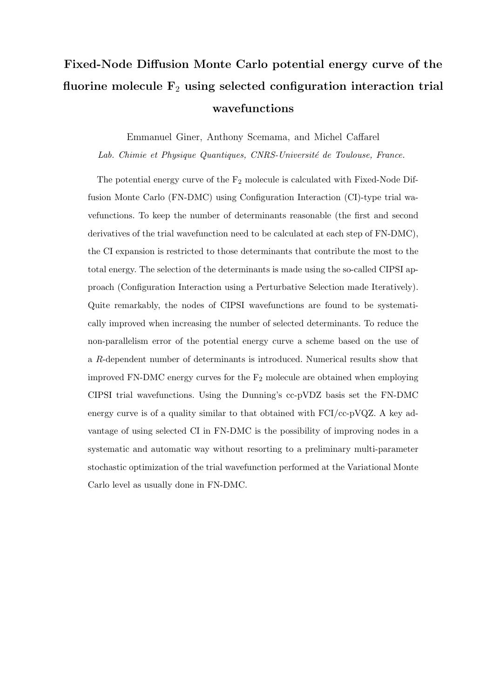# Fixed-Node Diffusion Monte Carlo potential energy curve of the fluorine molecule  $F_2$  using selected configuration interaction trial wavefunctions

Emmanuel Giner, Anthony Scemama, and Michel Caffarel

Lab. Chimie et Physique Quantiques, CNRS-Université de Toulouse, France.

The potential energy curve of the  $F_2$  molecule is calculated with Fixed-Node Diffusion Monte Carlo (FN-DMC) using Configuration Interaction (CI)-type trial wavefunctions. To keep the number of determinants reasonable (the first and second derivatives of the trial wavefunction need to be calculated at each step of FN-DMC), the CI expansion is restricted to those determinants that contribute the most to the total energy. The selection of the determinants is made using the so-called CIPSI approach (Configuration Interaction using a Perturbative Selection made Iteratively). Quite remarkably, the nodes of CIPSI wavefunctions are found to be systematically improved when increasing the number of selected determinants. To reduce the non-parallelism error of the potential energy curve a scheme based on the use of a R-dependent number of determinants is introduced. Numerical results show that improved FN-DMC energy curves for the  $F_2$  molecule are obtained when employing CIPSI trial wavefunctions. Using the Dunning's cc-pVDZ basis set the FN-DMC energy curve is of a quality similar to that obtained with FCI/cc-pVQZ. A key advantage of using selected CI in FN-DMC is the possibility of improving nodes in a systematic and automatic way without resorting to a preliminary multi-parameter stochastic optimization of the trial wavefunction performed at the Variational Monte Carlo level as usually done in FN-DMC.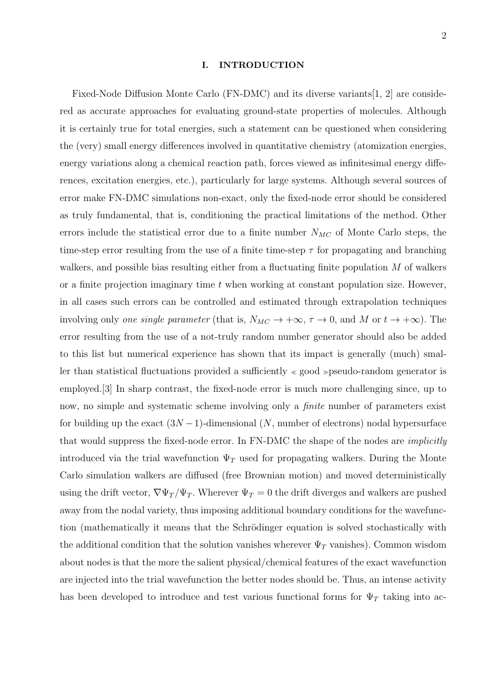#### I. INTRODUCTION

Fixed-Node Diffusion Monte Carlo (FN-DMC) and its diverse variants[1, 2] are considered as accurate approaches for evaluating ground-state properties of molecules. Although it is certainly true for total energies, such a statement can be questioned when considering the (very) small energy differences involved in quantitative chemistry (atomization energies, energy variations along a chemical reaction path, forces viewed as infinitesimal energy differences, excitation energies, etc.), particularly for large systems. Although several sources of error make FN-DMC simulations non-exact, only the fixed-node error should be considered as truly fundamental, that is, conditioning the practical limitations of the method. Other errors include the statistical error due to a finite number  $N_{MC}$  of Monte Carlo steps, the time-step error resulting from the use of a finite time-step  $\tau$  for propagating and branching walkers, and possible bias resulting either from a fluctuating finite population  $M$  of walkers or a finite projection imaginary time  $t$  when working at constant population size. However, in all cases such errors can be controlled and estimated through extrapolation techniques involving only one single parameter (that is,  $N_{MC} \to +\infty$ ,  $\tau \to 0$ , and M or  $t \to +\infty$ ). The error resulting from the use of a not-truly random number generator should also be added to this list but numerical experience has shown that its impact is generally (much) smaller than statistical fluctuations provided a sufficiently  $\ll$  good  $\gg$  pseudo-random generator is employed.[3] In sharp contrast, the fixed-node error is much more challenging since, up to now, no simple and systematic scheme involving only a *finite* number of parameters exist for building up the exact  $(3N-1)$ -dimensional  $(N,$  number of electrons) nodal hypersurface that would suppress the fixed-node error. In FN-DMC the shape of the nodes are implicitly introduced via the trial wavefunction  $\Psi_T$  used for propagating walkers. During the Monte Carlo simulation walkers are diffused (free Brownian motion) and moved deterministically using the drift vector,  $\nabla \Psi_T / \Psi_T$ . Wherever  $\Psi_T = 0$  the drift diverges and walkers are pushed away from the nodal variety, thus imposing additional boundary conditions for the wavefunction (mathematically it means that the Schrödinger equation is solved stochastically with the additional condition that the solution vanishes wherever  $\Psi_T$  vanishes). Common wisdom about nodes is that the more the salient physical/chemical features of the exact wavefunction are injected into the trial wavefunction the better nodes should be. Thus, an intense activity has been developed to introduce and test various functional forms for  $\Psi_T$  taking into ac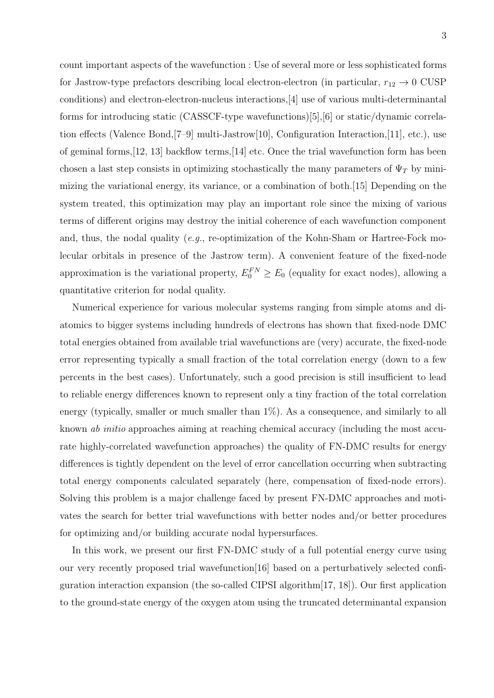count important aspects of the wavefunction : Use of several more or less sophisticated forms for Jastrow-type prefactors describing local electron-electron (in particular,  $r_{12} \rightarrow 0$  CUSP conditions) and electron-electron-nucleus interactions,[4] use of various multi-determinantal forms for introducing static (CASSCF-type wavefunctions)[5],[6] or static/dynamic correlation effects (Valence Bond,[7–9] multi-Jastrow[10], Configuration Interaction,[11], etc.), use of geminal forms,[12, 13] backflow terms,[14] etc. Once the trial wavefunction form has been chosen a last step consists in optimizing stochastically the many parameters of  $\Psi_T$  by minimizing the variational energy, its variance, or a combination of both.[15] Depending on the system treated, this optimization may play an important role since the mixing of various terms of different origins may destroy the initial coherence of each wavefunction component and, thus, the nodal quality  $(e.g.,$  re-optimization of the Kohn-Sham or Hartree-Fock molecular orbitals in presence of the Jastrow term). A convenient feature of the fixed-node approximation is the variational property,  $E_0^{FN} \ge E_0$  (equality for exact nodes), allowing a quantitative criterion for nodal quality.

Numerical experience for various molecular systems ranging from simple atoms and diatomics to bigger systems including hundreds of electrons has shown that fixed-node DMC total energies obtained from available trial wavefunctions are (very) accurate, the fixed-node error representing typically a small fraction of the total correlation energy (down to a few percents in the best cases). Unfortunately, such a good precision is still insufficient to lead to reliable energy differences known to represent only a tiny fraction of the total correlation energy (typically, smaller or much smaller than  $1\%$ ). As a consequence, and similarly to all known ab initio approaches aiming at reaching chemical accuracy (including the most accurate highly-correlated wavefunction approaches) the quality of FN-DMC results for energy differences is tightly dependent on the level of error cancellation occurring when subtracting total energy components calculated separately (here, compensation of fixed-node errors). Solving this problem is a major challenge faced by present FN-DMC approaches and motivates the search for better trial wavefunctions with better nodes and/or better procedures for optimizing and/or building accurate nodal hypersurfaces.

In this work, we present our first FN-DMC study of a full potential energy curve using our very recently proposed trial wavefunction[16] based on a perturbatively selected configuration interaction expansion (the so-called CIPSI algorithm[17, 18]). Our first application to the ground-state energy of the oxygen atom using the truncated determinantal expansion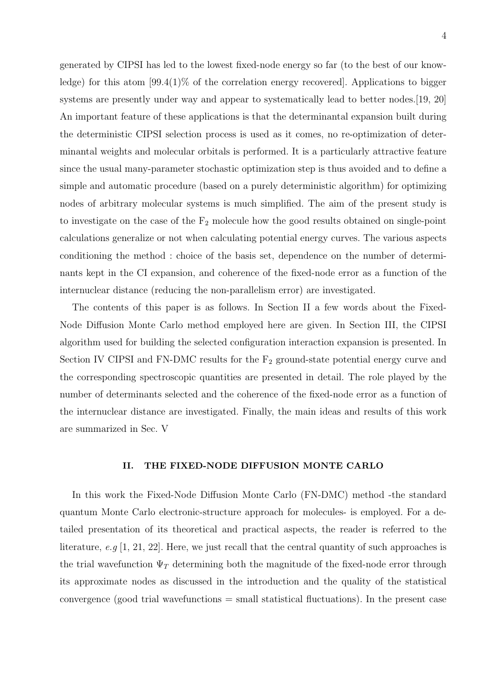generated by CIPSI has led to the lowest fixed-node energy so far (to the best of our knowledge) for this atom  $[99.4(1)\%$  of the correlation energy recovered. Applications to bigger systems are presently under way and appear to systematically lead to better nodes.[19, 20] An important feature of these applications is that the determinantal expansion built during the deterministic CIPSI selection process is used as it comes, no re-optimization of determinantal weights and molecular orbitals is performed. It is a particularly attractive feature since the usual many-parameter stochastic optimization step is thus avoided and to define a simple and automatic procedure (based on a purely deterministic algorithm) for optimizing nodes of arbitrary molecular systems is much simplified. The aim of the present study is to investigate on the case of the  $F_2$  molecule how the good results obtained on single-point calculations generalize or not when calculating potential energy curves. The various aspects conditioning the method : choice of the basis set, dependence on the number of determinants kept in the CI expansion, and coherence of the fixed-node error as a function of the internuclear distance (reducing the non-parallelism error) are investigated.

The contents of this paper is as follows. In Section II a few words about the Fixed-Node Diffusion Monte Carlo method employed here are given. In Section III, the CIPSI algorithm used for building the selected configuration interaction expansion is presented. In Section IV CIPSI and FN-DMC results for the  $F_2$  ground-state potential energy curve and the corresponding spectroscopic quantities are presented in detail. The role played by the number of determinants selected and the coherence of the fixed-node error as a function of the internuclear distance are investigated. Finally, the main ideas and results of this work are summarized in Sec. V

# II. THE FIXED-NODE DIFFUSION MONTE CARLO

In this work the Fixed-Node Diffusion Monte Carlo (FN-DMC) method -the standard quantum Monte Carlo electronic-structure approach for molecules- is employed. For a detailed presentation of its theoretical and practical aspects, the reader is referred to the literature, e.g [1, 21, 22]. Here, we just recall that the central quantity of such approaches is the trial wavefunction  $\Psi_T$  determining both the magnitude of the fixed-node error through its approximate nodes as discussed in the introduction and the quality of the statistical convergence (good trial wavefunctions  $=$  small statistical fluctuations). In the present case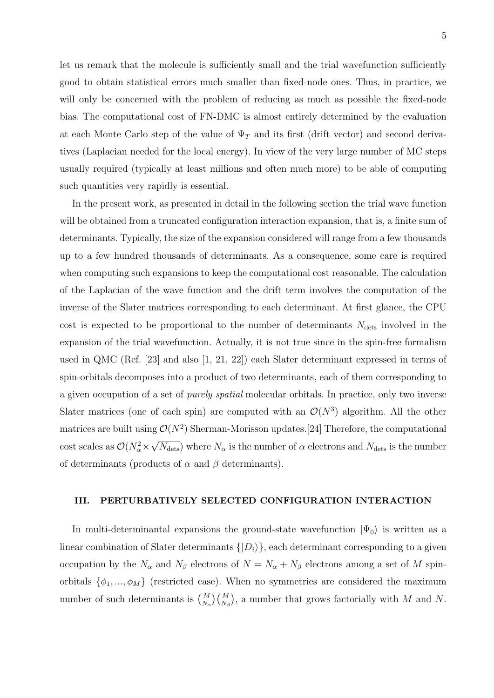let us remark that the molecule is sufficiently small and the trial wavefunction sufficiently good to obtain statistical errors much smaller than fixed-node ones. Thus, in practice, we will only be concerned with the problem of reducing as much as possible the fixed-node bias. The computational cost of FN-DMC is almost entirely determined by the evaluation at each Monte Carlo step of the value of  $\Psi_T$  and its first (drift vector) and second derivatives (Laplacian needed for the local energy). In view of the very large number of MC steps usually required (typically at least millions and often much more) to be able of computing such quantities very rapidly is essential.

In the present work, as presented in detail in the following section the trial wave function will be obtained from a truncated configuration interaction expansion, that is, a finite sum of determinants. Typically, the size of the expansion considered will range from a few thousands up to a few hundred thousands of determinants. As a consequence, some care is required when computing such expansions to keep the computational cost reasonable. The calculation of the Laplacian of the wave function and the drift term involves the computation of the inverse of the Slater matrices corresponding to each determinant. At first glance, the CPU cost is expected to be proportional to the number of determinants  $N_{\text{dets}}$  involved in the expansion of the trial wavefunction. Actually, it is not true since in the spin-free formalism used in QMC (Ref. [23] and also [1, 21, 22]) each Slater determinant expressed in terms of spin-orbitals decomposes into a product of two determinants, each of them corresponding to a given occupation of a set of purely spatial molecular orbitals. In practice, only two inverse Slater matrices (one of each spin) are computed with an  $\mathcal{O}(N^3)$  algorithm. All the other matrices are built using  $\mathcal{O}(N^2)$  Sherman-Morisson updates.[24] Therefore, the computational cost scales as  $\mathcal{O}(N_\alpha^2 \times$  $\sqrt{N_{\text{dets}}}$ ) where  $N_{\alpha}$  is the number of  $\alpha$  electrons and  $N_{\text{dets}}$  is the number of determinants (products of  $\alpha$  and  $\beta$  determinants).

#### III. PERTURBATIVELY SELECTED CONFIGURATION INTERACTION

In multi-determinantal expansions the ground-state wavefunction  $|\Psi_0\rangle$  is written as a linear combination of Slater determinants  $\{|D_i\rangle\}$ , each determinant corresponding to a given occupation by the  $N_{\alpha}$  and  $N_{\beta}$  electrons of  $N = N_{\alpha} + N_{\beta}$  electrons among a set of M spinorbitals  $\{\phi_1, ..., \phi_M\}$  (restricted case). When no symmetries are considered the maximum number of such determinants is  $\binom{M}{N_{\alpha}}\binom{M}{N_{\beta}}$ , a number that grows factorially with M and N.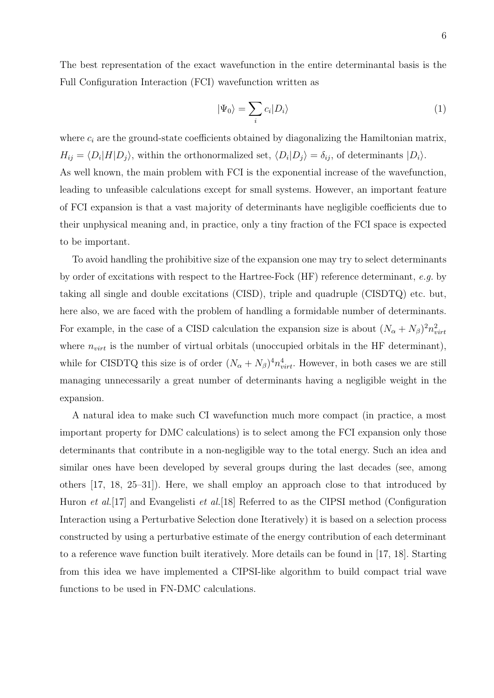The best representation of the exact wavefunction in the entire determinantal basis is the Full Configuration Interaction (FCI) wavefunction written as

$$
|\Psi_0\rangle = \sum_i c_i |D_i\rangle \tag{1}
$$

where  $c_i$  are the ground-state coefficients obtained by diagonalizing the Hamiltonian matrix,  $H_{ij} = \langle D_i | H | D_j \rangle$ , within the orthonormalized set,  $\langle D_i | D_j \rangle = \delta_{ij}$ , of determinants  $|D_i \rangle$ . As well known, the main problem with FCI is the exponential increase of the wavefunction, leading to unfeasible calculations except for small systems. However, an important feature of FCI expansion is that a vast majority of determinants have negligible coefficients due to their unphysical meaning and, in practice, only a tiny fraction of the FCI space is expected to be important.

To avoid handling the prohibitive size of the expansion one may try to select determinants by order of excitations with respect to the Hartree-Fock (HF) reference determinant, e.g. by taking all single and double excitations (CISD), triple and quadruple (CISDTQ) etc. but, here also, we are faced with the problem of handling a formidable number of determinants. For example, in the case of a CISD calculation the expansion size is about  $(N_{\alpha} + N_{\beta})^2 n_{virt}^2$ where  $n_{virt}$  is the number of virtual orbitals (unoccupied orbitals in the HF determinant), while for CISDTQ this size is of order  $(N_\alpha + N_\beta)^4 n_{virt}^4$ . However, in both cases we are still managing unnecessarily a great number of determinants having a negligible weight in the expansion.

A natural idea to make such CI wavefunction much more compact (in practice, a most important property for DMC calculations) is to select among the FCI expansion only those determinants that contribute in a non-negligible way to the total energy. Such an idea and similar ones have been developed by several groups during the last decades (see, among others [17, 18, 25–31]). Here, we shall employ an approach close to that introduced by Huron *et al.*[17] and Evangelisti *et al.*[18] Referred to as the CIPSI method (Configuration Interaction using a Perturbative Selection done Iteratively) it is based on a selection process constructed by using a perturbative estimate of the energy contribution of each determinant to a reference wave function built iteratively. More details can be found in [17, 18]. Starting from this idea we have implemented a CIPSI-like algorithm to build compact trial wave functions to be used in FN-DMC calculations.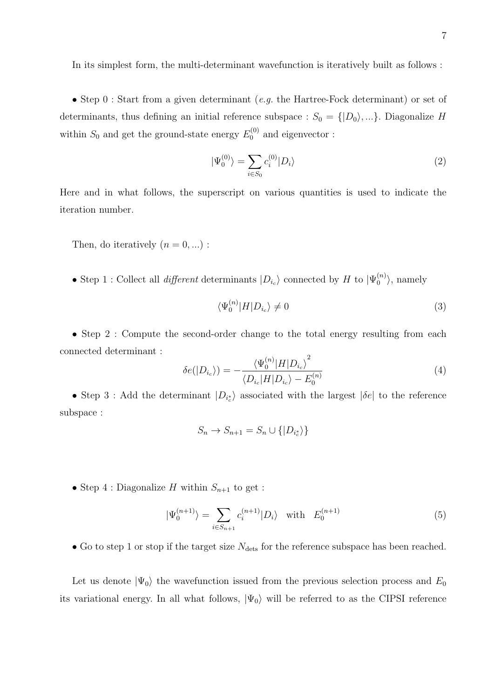7

In its simplest form, the multi-determinant wavefunction is iteratively built as follows :

• Step 0 : Start from a given determinant (e.g. the Hartree-Fock determinant) or set of determinants, thus defining an initial reference subspace :  $S_0 = \{ |D_0\rangle, ...\}$ . Diagonalize H within  $S_0$  and get the ground-state energy  $E_0^{(0)}$  $n_0^{(0)}$  and eigenvector :

$$
|\Psi_0^{(0)}\rangle = \sum_{i \in S_0} c_i^{(0)} |D_i\rangle \tag{2}
$$

Here and in what follows, the superscript on various quantities is used to indicate the iteration number.

- Then, do iteratively  $(n = 0, \ldots)$ :
- Step 1 : Collect all *different* determinants  $|D_{i_c}\rangle$  connected by  $H$  to  $|\Psi_0^{(n)}\rangle$  $\binom{n}{0}$ , namely

$$
\langle \Psi_0^{(n)} | H | D_{i_c} \rangle \neq 0 \tag{3}
$$

• Step 2 : Compute the second-order change to the total energy resulting from each connected determinant : 2

$$
\delta e(|D_{i_c}\rangle) = -\frac{\langle \Psi_0^{(n)}|H|D_{i_c}\rangle^2}{\langle D_{i_c}|H|D_{i_c}\rangle - E_0^{(n)}}\tag{4}
$$

• Step 3 : Add the determinant  $|D_{i_c^*}\rangle$  associated with the largest  $|\delta e|$  to the reference subspace :

$$
S_n \to S_{n+1} = S_n \cup \{|D_{i_c^*}\rangle\}
$$

• Step 4 : Diagonalize H within  $S_{n+1}$  to get :

$$
|\Psi_0^{(n+1)}\rangle = \sum_{i \in S_{n+1}} c_i^{(n+1)} |D_i\rangle \quad \text{with} \quad E_0^{(n+1)} \tag{5}
$$

• Go to step 1 or stop if the target size  $N_{\text{dets}}$  for the reference subspace has been reached.

Let us denote  $|\Psi_0\rangle$  the wavefunction issued from the previous selection process and  $E_0$ its variational energy. In all what follows,  $|\Psi_0\rangle$  will be referred to as the CIPSI reference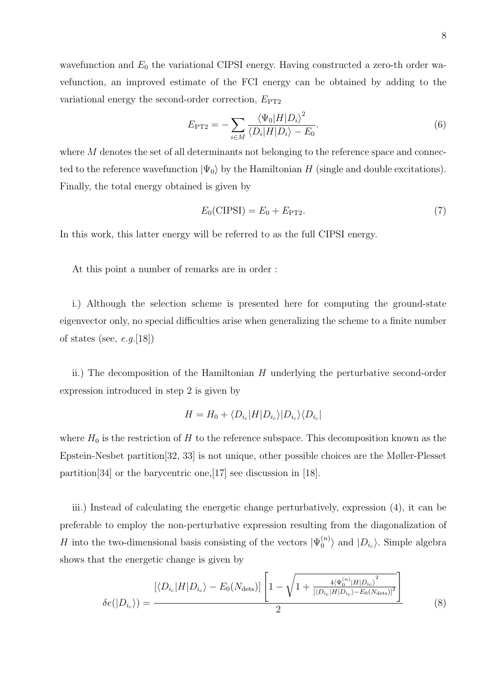wavefunction and  $E_0$  the variational CIPSI energy. Having constructed a zero-th order wavefunction, an improved estimate of the FCI energy can be obtained by adding to the variational energy the second-order correction,  $E_{\text{PT2}}$ 

$$
E_{\rm PT2} = -\sum_{i \in M} \frac{\langle \Psi_0 | H | D_i \rangle^2}{\langle D_i | H | D_i \rangle - E_0}.
$$
\n
$$
(6)
$$

where  $M$  denotes the set of all determinants not belonging to the reference space and connected to the reference wavefunction  $|\Psi_0\rangle$  by the Hamiltonian H (single and double excitations). Finally, the total energy obtained is given by

$$
E_0(\text{CIPSI}) = E_0 + E_{\text{PT2}}.\tag{7}
$$

In this work, this latter energy will be referred to as the full CIPSI energy.

At this point a number of remarks are in order :

i.) Although the selection scheme is presented here for computing the ground-state eigenvector only, no special difficulties arise when generalizing the scheme to a finite number of states (see,  $e.g. [18]$ )

ii.) The decomposition of the Hamiltonian  $H$  underlying the perturbative second-order expression introduced in step 2 is given by

$$
H = H_0 + \langle D_{i_c} | H | D_{i_c} \rangle | D_{i_c} \rangle \langle D_{i_c} |
$$

where  $H_0$  is the restriction of H to the reference subspace. This decomposition known as the Epstein-Nesbet partition[32, 33] is not unique, other possible choices are the Møller-Plesset partition[34] or the barycentric one,[17] see discussion in [18].

iii.) Instead of calculating the energetic change perturbatively, expression (4), it can be preferable to employ the non-perturbative expression resulting from the diagonalization of H into the two-dimensional basis consisting of the vectors  $|\Psi_0^{(n)}\rangle$  $\binom{n}{0}$  and  $\ket{D_{i_c}}$ . Simple algebra shows that the energetic change is given by

$$
\delta e(|D_{i_c}\rangle) = \frac{[\langle D_{i_c}|H|D_{i_c}\rangle - E_0(N_{\text{dets}})] \left[1 - \sqrt{1 + \frac{4\langle \Psi_0^{(n)}|H|D_{i_c}\rangle^2}{[\langle D_{i_c}|H|D_{i_c}\rangle - E_0(N_{\text{dets}})]^2}}\right]}{2}
$$
(8)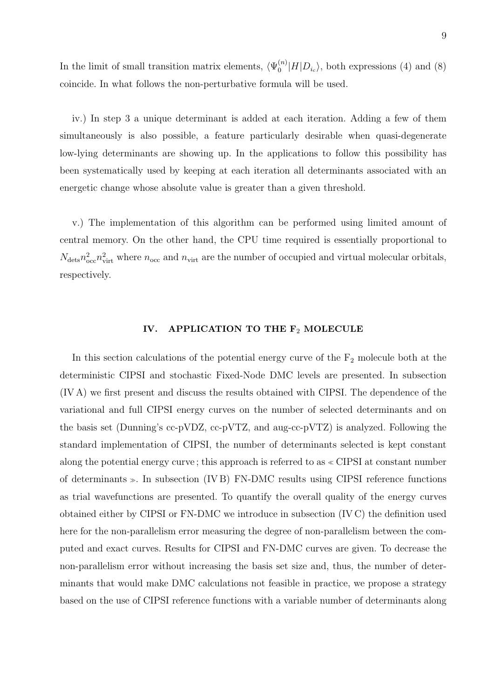In the limit of small transition matrix elements,  $\langle \Psi_0^{(n)} \rangle$  $\binom{n}{0}$  |H|D<sub>ic</sub> $\rangle$ , both expressions (4) and (8) coincide. In what follows the non-perturbative formula will be used.

iv.) In step 3 a unique determinant is added at each iteration. Adding a few of them simultaneously is also possible, a feature particularly desirable when quasi-degenerate low-lying determinants are showing up. In the applications to follow this possibility has been systematically used by keeping at each iteration all determinants associated with an energetic change whose absolute value is greater than a given threshold.

v.) The implementation of this algorithm can be performed using limited amount of central memory. On the other hand, the CPU time required is essentially proportional to  $N_{\text{dets}} n_{\text{occ}}^2 n_{\text{virt}}^2$  where  $n_{\text{occ}}$  and  $n_{\text{virt}}$  are the number of occupied and virtual molecular orbitals, respectively.

# IV. APPLICATION TO THE  $F_2$  MOLECULE

In this section calculations of the potential energy curve of the  $F_2$  molecule both at the deterministic CIPSI and stochastic Fixed-Node DMC levels are presented. In subsection (IV A) we first present and discuss the results obtained with CIPSI. The dependence of the variational and full CIPSI energy curves on the number of selected determinants and on the basis set (Dunning's cc-pVDZ, cc-pVTZ, and aug-cc-pVTZ) is analyzed. Following the standard implementation of CIPSI, the number of determinants selected is kept constant along the potential energy curve; this approach is referred to as  $\ll$  CIPSI at constant number of determinants  $\geq$ . In subsection (IV B) FN-DMC results using CIPSI reference functions as trial wavefunctions are presented. To quantify the overall quality of the energy curves obtained either by CIPSI or FN-DMC we introduce in subsection (IV C) the definition used here for the non-parallelism error measuring the degree of non-parallelism between the computed and exact curves. Results for CIPSI and FN-DMC curves are given. To decrease the non-parallelism error without increasing the basis set size and, thus, the number of determinants that would make DMC calculations not feasible in practice, we propose a strategy based on the use of CIPSI reference functions with a variable number of determinants along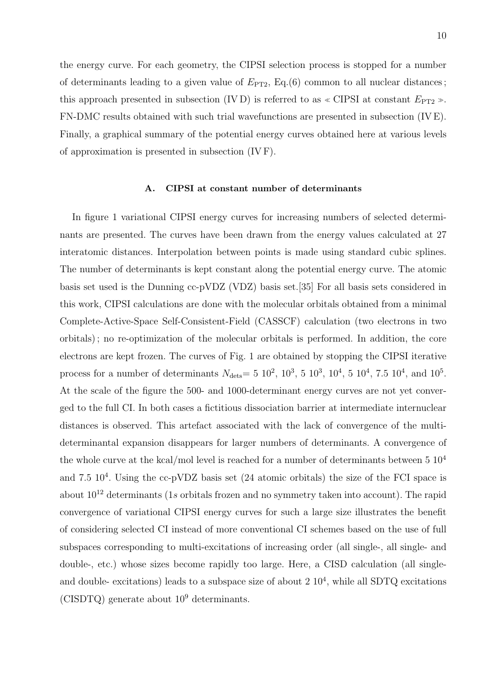the energy curve. For each geometry, the CIPSI selection process is stopped for a number of determinants leading to a given value of  $E_{PT2}$ , Eq.(6) common to all nuclear distances; this approach presented in subsection (IVD) is referred to as  $\ll$  CIPSI at constant  $E_{PT2} \gg$ . FN-DMC results obtained with such trial wavefunctions are presented in subsection (IV E). Finally, a graphical summary of the potential energy curves obtained here at various levels of approximation is presented in subsection (IV F).

## A. CIPSI at constant number of determinants

In figure 1 variational CIPSI energy curves for increasing numbers of selected determinants are presented. The curves have been drawn from the energy values calculated at 27 interatomic distances. Interpolation between points is made using standard cubic splines. The number of determinants is kept constant along the potential energy curve. The atomic basis set used is the Dunning cc-pVDZ (VDZ) basis set.[35] For all basis sets considered in this work, CIPSI calculations are done with the molecular orbitals obtained from a minimal Complete-Active-Space Self-Consistent-Field (CASSCF) calculation (two electrons in two orbitals) ; no re-optimization of the molecular orbitals is performed. In addition, the core electrons are kept frozen. The curves of Fig. 1 are obtained by stopping the CIPSI iterative process for a number of determinants  $N_{\text{dets}} = 5 \ 10^2, 10^3, 5 \ 10^3, 10^4, 5 \ 10^4, 7.5 \ 10^4, \text{ and } 10^5$ . At the scale of the figure the 500- and 1000-determinant energy curves are not yet converged to the full CI. In both cases a fictitious dissociation barrier at intermediate internuclear distances is observed. This artefact associated with the lack of convergence of the multideterminantal expansion disappears for larger numbers of determinants. A convergence of the whole curve at the kcal/mol level is reached for a number of determinants between  $5 \times 10^4$ and  $7.5 \, 10^4$ . Using the cc-pVDZ basis set  $(24 \, \text{atomic orbitals})$  the size of the FCI space is about  $10^{12}$  determinants (1s orbitals frozen and no symmetry taken into account). The rapid convergence of variational CIPSI energy curves for such a large size illustrates the benefit of considering selected CI instead of more conventional CI schemes based on the use of full subspaces corresponding to multi-excitations of increasing order (all single-, all single- and double-, etc.) whose sizes become rapidly too large. Here, a CISD calculation (all singleand double- excitations) leads to a subspace size of about  $2 \times 10^4$ , while all SDTQ excitations (CISDTQ) generate about  $10^9$  determinants.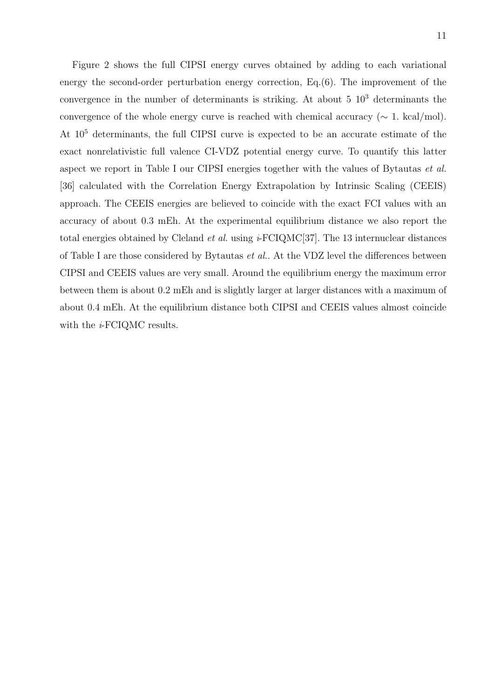Figure 2 shows the full CIPSI energy curves obtained by adding to each variational energy the second-order perturbation energy correction, Eq.(6). The improvement of the convergence in the number of determinants is striking. At about  $5\ 10^3$  determinants the convergence of the whole energy curve is reached with chemical accuracy ( $\sim 1$ . kcal/mol). At  $10^5$  determinants, the full CIPSI curve is expected to be an accurate estimate of the exact nonrelativistic full valence CI-VDZ potential energy curve. To quantify this latter aspect we report in Table I our CIPSI energies together with the values of Bytautas et al. [36] calculated with the Correlation Energy Extrapolation by Intrinsic Scaling (CEEIS) approach. The CEEIS energies are believed to coincide with the exact FCI values with an accuracy of about 0.3 mEh. At the experimental equilibrium distance we also report the total energies obtained by Cleland *et al.* using  $i$ -FCIQMC[37]. The 13 internuclear distances of Table I are those considered by Bytautas et al.. At the VDZ level the differences between CIPSI and CEEIS values are very small. Around the equilibrium energy the maximum error between them is about 0.2 mEh and is slightly larger at larger distances with a maximum of about 0.4 mEh. At the equilibrium distance both CIPSI and CEEIS values almost coincide with the *i*-FCIQMC results.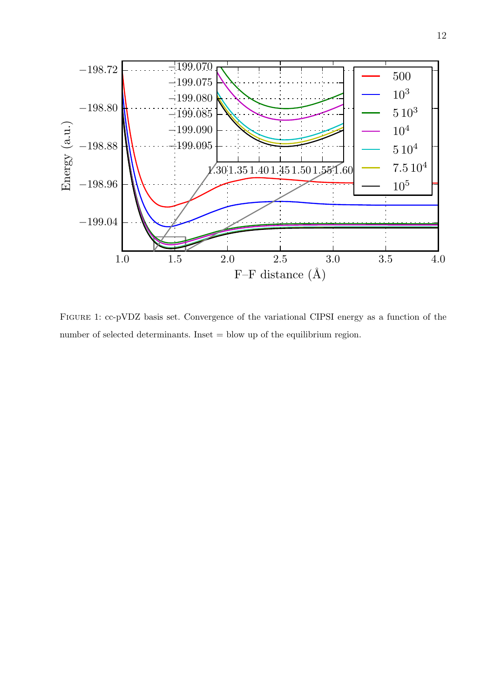

Figure 1: cc-pVDZ basis set. Convergence of the variational CIPSI energy as a function of the number of selected determinants. Inset = blow up of the equilibrium region.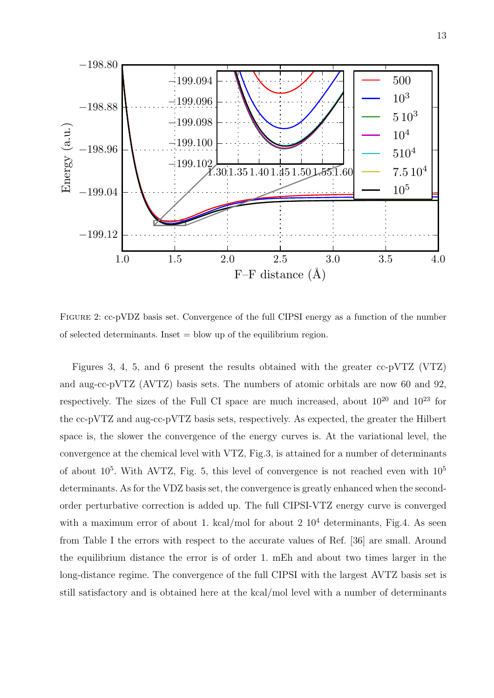

Figure 2: cc-pVDZ basis set. Convergence of the full CIPSI energy as a function of the number of selected determinants. Inset  $=$  blow up of the equilibrium region.

Figures 3, 4, 5, and 6 present the results obtained with the greater cc-pVTZ (VTZ) and aug-cc-pVTZ (AVTZ) basis sets. The numbers of atomic orbitals are now 60 and 92, respectively. The sizes of the Full CI space are much increased, about  $10^{20}$  and  $10^{23}$  for the cc-pVTZ and aug-cc-pVTZ basis sets, respectively. As expected, the greater the Hilbert space is, the slower the convergence of the energy curves is. At the variational level, the convergence at the chemical level with VTZ, Fig.3, is attained for a number of determinants of about  $10^5$ . With AVTZ, Fig. 5, this level of convergence is not reached even with  $10^5$ determinants. As for the VDZ basis set, the convergence is greatly enhanced when the secondorder perturbative correction is added up. The full CIPSI-VTZ energy curve is converged with a maximum error of about 1. kcal/mol for about  $2 \times 10^4$  determinants, Fig.4. As seen from Table I the errors with respect to the accurate values of Ref. [36] are small. Around the equilibrium distance the error is of order 1. mEh and about two times larger in the long-distance regime. The convergence of the full CIPSI with the largest AVTZ basis set is still satisfactory and is obtained here at the kcal/mol level with a number of determinants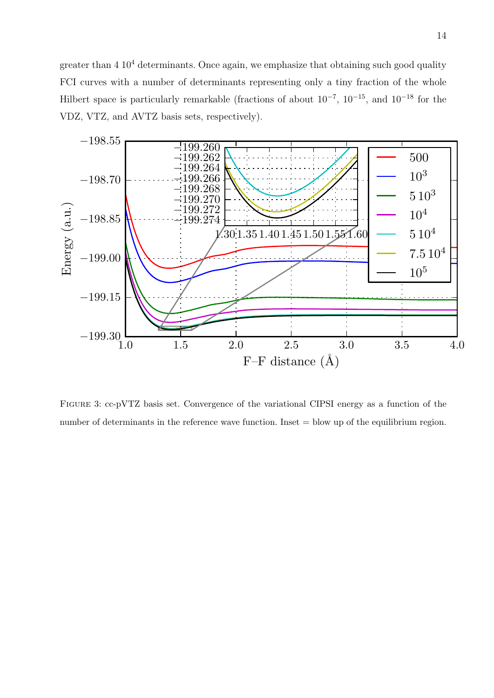greater than  $4\,10^4$  determinants. Once again, we emphasize that obtaining such good quality FCI curves with a number of determinants representing only a tiny fraction of the whole Hilbert space is particularly remarkable (fractions of about  $10^{-7}$ ,  $10^{-15}$ , and  $10^{-18}$  for the VDZ, VTZ, and AVTZ basis sets, respectively).



Figure 3: cc-pVTZ basis set. Convergence of the variational CIPSI energy as a function of the number of determinants in the reference wave function. Inset = blow up of the equilibrium region.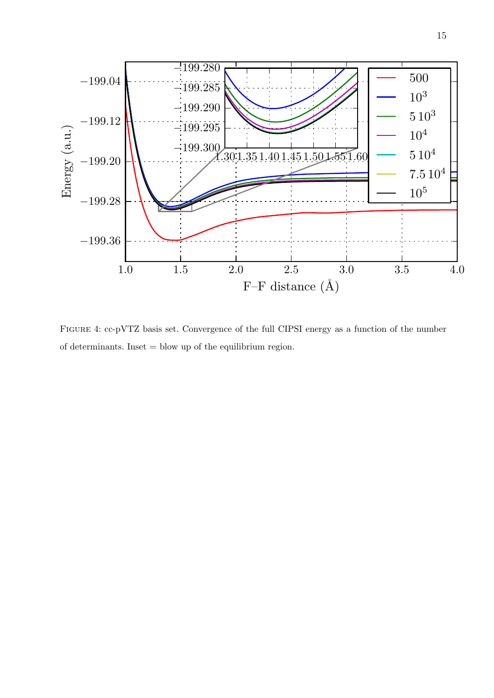

Figure 4: cc-pVTZ basis set. Convergence of the full CIPSI energy as a function of the number of determinants. Inset = blow up of the equilibrium region.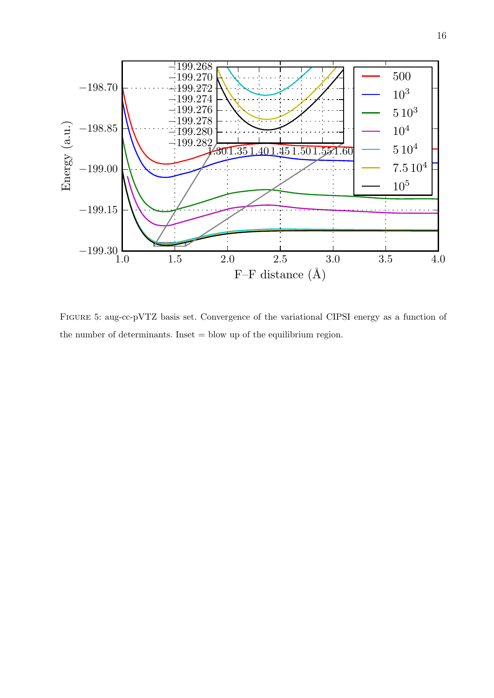

Figure 5: aug-cc-pVTZ basis set. Convergence of the variational CIPSI energy as a function of the number of determinants. Inset = blow up of the equilibrium region.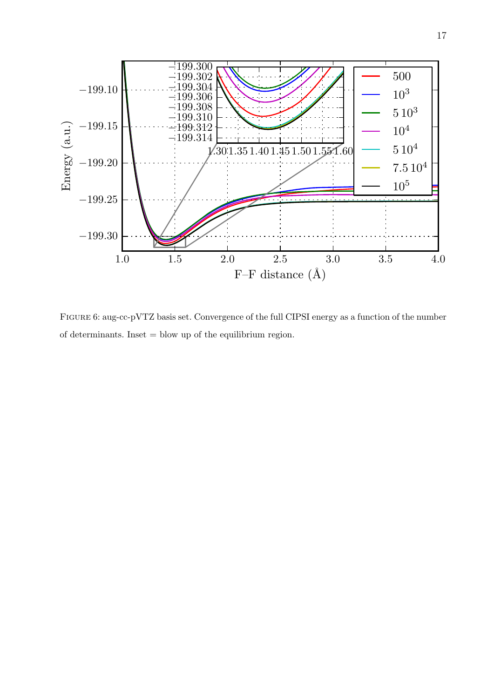

Figure 6: aug-cc-pVTZ basis set. Convergence of the full CIPSI energy as a function of the number of determinants. Inset = blow up of the equilibrium region.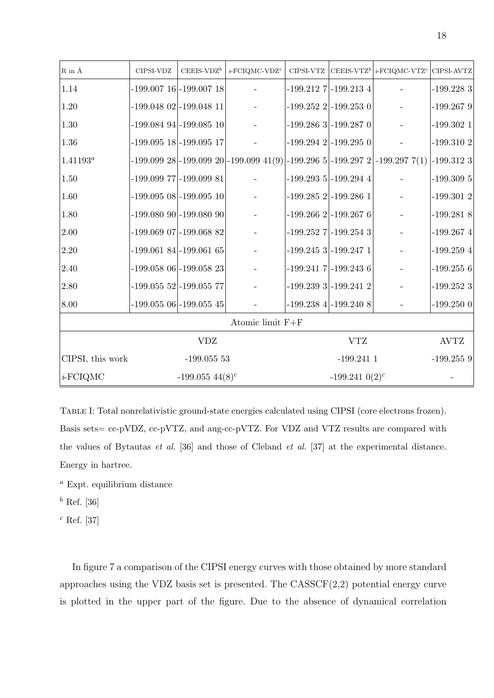| $R$ in $\mathring{A}$ | CIPSI-VDZ | $CEEIS-VDZb$                | $i$ FCIQMC-VDZ <sup>c</sup>                                                                         | CIPSI-VTZ |                           | CEEIS-VTZ <sup>b</sup> $i$ -FCIQMC-VTZ <sup>c</sup> CIPSI-AVTZ |                                  |  |
|-----------------------|-----------|-----------------------------|-----------------------------------------------------------------------------------------------------|-----------|---------------------------|----------------------------------------------------------------|----------------------------------|--|
| 1.14                  |           | $-199.007$ 16 $-199.007$ 18 |                                                                                                     |           | $-199.212$ 7 $-199.213$ 4 |                                                                | $-199.2283$                      |  |
| $1.20\,$              |           | $-199.048$ 02 $-199.048$ 11 |                                                                                                     |           | $-199.252$ 2 $-199.253$ 0 |                                                                | $-199.267$ 9                     |  |
| $1.30\,$              |           | $-199.08494$ -199.085 10    |                                                                                                     |           | $-199.286$ 3 $-199.287$ 0 |                                                                | $-199.302\ 1$                    |  |
| $1.36\,$              |           | $-199.095$ 18 $-199.095$ 17 |                                                                                                     |           | $-199.294$ 2 $-199.295$ 0 |                                                                | $\textbf{-199.310}$ $\textbf{2}$ |  |
| $1.41193^{a}$         |           |                             | $-199.099$ 28 $-199.099$ 20 $-199.099$ 41(9) $-199.296$ 5 $-199.297$ 2 $-199.297$ 7(1) $-199.312$ 3 |           |                           |                                                                |                                  |  |
| $1.50\,$              |           | $-199.09977[-199.09981$     |                                                                                                     |           | $-199.293\ 5$ -199.294 4  |                                                                | $-199.3095$                      |  |
| 1.60                  |           | $-199.095$ 08 $-199.095$ 10 |                                                                                                     |           | $-199.285$ 2 $-199.286$ 1 |                                                                | $-199.301$ 2                     |  |
| 1.80                  |           | $-199.080$ 90 $-199.080$ 90 |                                                                                                     |           | $-199.266$ 2 $-199.267$ 6 |                                                                | $-199.281\ 8$                    |  |
| $2.00\,$              |           | $-199.06907$ -199.06882     | $\blacksquare$                                                                                      |           | $-199.252$ 7 $-199.254$ 3 |                                                                | $\mbox{-}199.267$ $\mbox{4}$     |  |
| $2.20\,$              |           | $-199.06184$ $-199.06165$   |                                                                                                     |           | $-199.245$ 3 $-199.247$ 1 |                                                                | $-199.259\ 4$                    |  |
| $2.40\,$              |           | $-199.05806$ -199.058 23    |                                                                                                     |           | $-199.241$ 7 $-199.243$ 6 |                                                                | $-199.2556$                      |  |
| $2.80\,$              |           | $-199.05552$ -199.055 77    |                                                                                                     |           | $-199.239$ 3 $-199.241$ 2 |                                                                | $-199.252\ 3$                    |  |
| $8.00\,$              |           | $-199.055$ 06 $-199.055$ 45 |                                                                                                     |           | $-199.238$ 4 $-199.240$ 8 |                                                                | $-199.2500$                      |  |
| Atomic limit F+F      |           |                             |                                                                                                     |           |                           |                                                                |                                  |  |
|                       |           | <b>VDZ</b>                  |                                                                                                     |           | <b>VTZ</b>                |                                                                | <b>AVTZ</b>                      |  |
| CIPSI, this work      |           | $-199.05553$                |                                                                                                     |           | $-199.2411$               |                                                                | $-199.2559$                      |  |
| $i$ -FCIQMC           |           | $-199.055\;44(8)^c$         |                                                                                                     |           | $-199.241\;0(2)^c$        |                                                                |                                  |  |

Table I: Total nonrelativistic ground-state energies calculated using CIPSI (core electrons frozen). Basis sets= cc-pVDZ, cc-pVTZ, and aug-cc-pVTZ. For VDZ and VTZ results are compared with the values of Bytautas et al. [36] and those of Cleland et al. [37] at the experimental distance. Energy in hartree.

- <sup>a</sup> Expt. equilibrium distance
- $<sup>b</sup>$  Ref. [36]</sup>
- $c$  Ref. [37]

In figure 7 a comparison of the CIPSI energy curves with those obtained by more standard approaches using the VDZ basis set is presented. The CASSCF(2,2) potential energy curve is plotted in the upper part of the figure. Due to the absence of dynamical correlation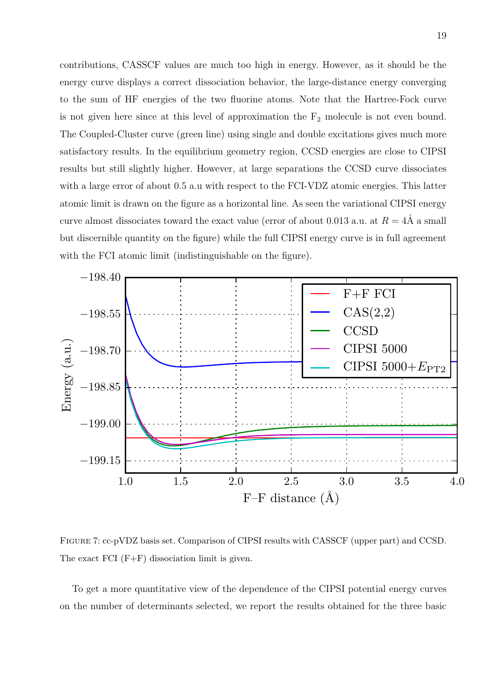contributions, CASSCF values are much too high in energy. However, as it should be the energy curve displays a correct dissociation behavior, the large-distance energy converging to the sum of HF energies of the two fluorine atoms. Note that the Hartree-Fock curve is not given here since at this level of approximation the  $F_2$  molecule is not even bound. The Coupled-Cluster curve (green line) using single and double excitations gives much more satisfactory results. In the equilibrium geometry region, CCSD energies are close to CIPSI results but still slightly higher. However, at large separations the CCSD curve dissociates with a large error of about 0.5 a.u with respect to the FCI-VDZ atomic energies. This latter atomic limit is drawn on the figure as a horizontal line. As seen the variational CIPSI energy curve almost dissociates toward the exact value (error of about 0.013 a.u. at  $R = 4A$  a small but discernible quantity on the figure) while the full CIPSI energy curve is in full agreement with the FCI atomic limit (indistinguishable on the figure).



Figure 7: cc-pVDZ basis set. Comparison of CIPSI results with CASSCF (upper part) and CCSD. The exact  $FCI (F+F)$  dissociation limit is given.

To get a more quantitative view of the dependence of the CIPSI potential energy curves on the number of determinants selected, we report the results obtained for the three basic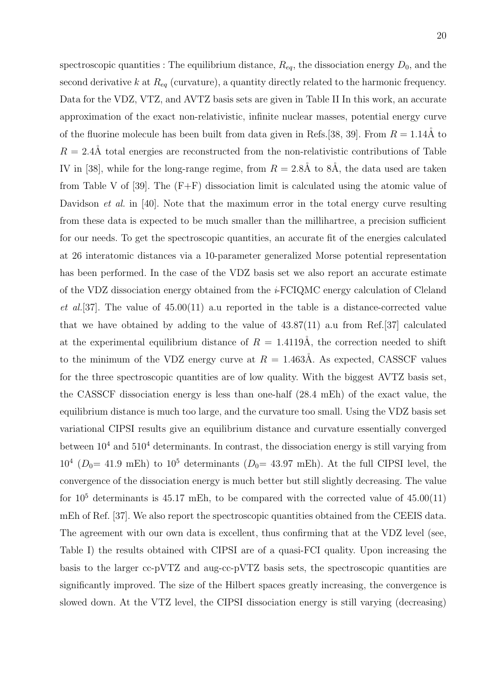spectroscopic quantities : The equilibrium distance,  $R_{eq}$ , the dissociation energy  $D_0$ , and the second derivative k at  $R_{eq}$  (curvature), a quantity directly related to the harmonic frequency. Data for the VDZ, VTZ, and AVTZ basis sets are given in Table II In this work, an accurate approximation of the exact non-relativistic, infinite nuclear masses, potential energy curve of the fluorine molecule has been built from data given in Refs.[38, 39]. From  $R = 1.14$ Å to  $R = 2.4\text{\AA}$  total energies are reconstructed from the non-relativistic contributions of Table IV in [38], while for the long-range regime, from  $R = 2.8\text{\AA}$  to  $8\text{\AA}$ , the data used are taken from Table V of [39]. The (F+F) dissociation limit is calculated using the atomic value of Davidson *et al.* in [40]. Note that the maximum error in the total energy curve resulting from these data is expected to be much smaller than the millihartree, a precision sufficient for our needs. To get the spectroscopic quantities, an accurate fit of the energies calculated at 26 interatomic distances via a 10-parameter generalized Morse potential representation has been performed. In the case of the VDZ basis set we also report an accurate estimate of the VDZ dissociation energy obtained from the  $i$ -FCIQMC energy calculation of Cleland et al. [37]. The value of  $45.00(11)$  a.u reported in the table is a distance-corrected value that we have obtained by adding to the value of 43.87(11) a.u from Ref.[37] calculated at the experimental equilibrium distance of  $R = 1.4119\text{\AA}$ , the correction needed to shift to the minimum of the VDZ energy curve at  $R = 1.463\text{\AA}$ . As expected, CASSCF values for the three spectroscopic quantities are of low quality. With the biggest AVTZ basis set, the CASSCF dissociation energy is less than one-half (28.4 mEh) of the exact value, the equilibrium distance is much too large, and the curvature too small. Using the VDZ basis set variational CIPSI results give an equilibrium distance and curvature essentially converged between  $10^4$  and  $510^4$  determinants. In contrast, the dissociation energy is still varying from  $10^4$  ( $D_0$  = 41.9 mEh) to  $10^5$  determinants ( $D_0$  = 43.97 mEh). At the full CIPSI level, the convergence of the dissociation energy is much better but still slightly decreasing. The value for  $10^5$  determinants is 45.17 mEh, to be compared with the corrected value of  $45.00(11)$ mEh of Ref. [37]. We also report the spectroscopic quantities obtained from the CEEIS data. The agreement with our own data is excellent, thus confirming that at the VDZ level (see, Table I) the results obtained with CIPSI are of a quasi-FCI quality. Upon increasing the basis to the larger cc-pVTZ and aug-cc-pVTZ basis sets, the spectroscopic quantities are significantly improved. The size of the Hilbert spaces greatly increasing, the convergence is slowed down. At the VTZ level, the CIPSI dissociation energy is still varying (decreasing)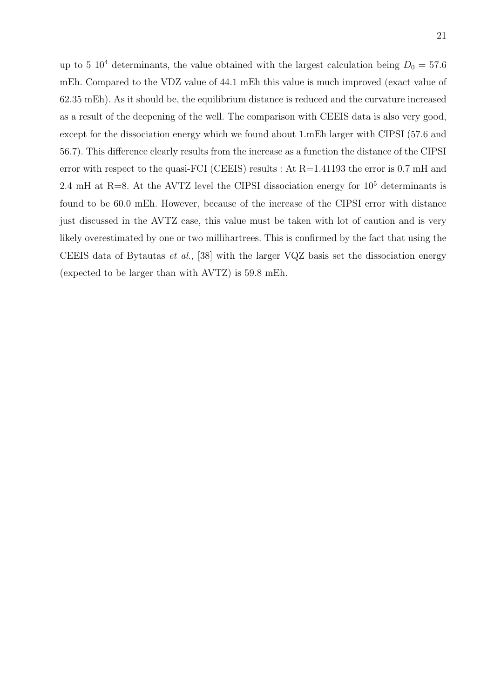up to 5 10<sup>4</sup> determinants, the value obtained with the largest calculation being  $D_0 = 57.6$ mEh. Compared to the VDZ value of 44.1 mEh this value is much improved (exact value of 62.35 mEh). As it should be, the equilibrium distance is reduced and the curvature increased as a result of the deepening of the well. The comparison with CEEIS data is also very good, except for the dissociation energy which we found about 1.mEh larger with CIPSI (57.6 and 56.7). This difference clearly results from the increase as a function the distance of the CIPSI error with respect to the quasi-FCI (CEEIS) results : At R=1.41193 the error is 0.7 mH and 2.4 mH at R=8. At the AVTZ level the CIPSI dissociation energy for  $10^5$  determinants is found to be 60.0 mEh. However, because of the increase of the CIPSI error with distance just discussed in the AVTZ case, this value must be taken with lot of caution and is very likely overestimated by one or two millihartrees. This is confirmed by the fact that using the CEEIS data of Bytautas *et al.*, [38] with the larger VQZ basis set the dissociation energy (expected to be larger than with AVTZ) is 59.8 mEh.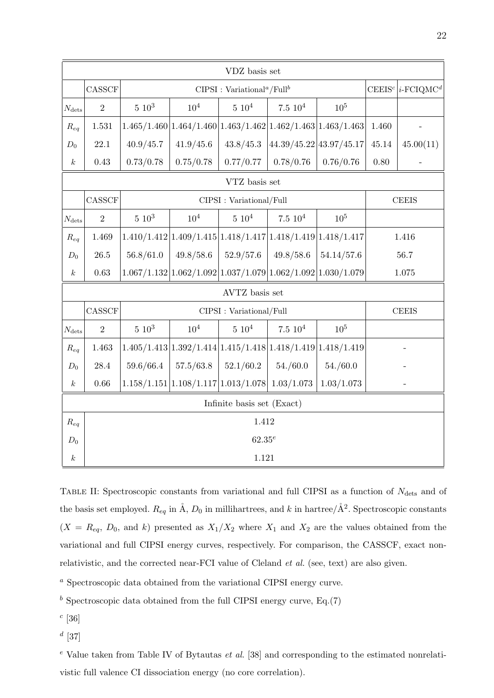| VDZ basis set              |                                                   |           |                                                               |                      |                         |                 |          |               |  |  |
|----------------------------|---------------------------------------------------|-----------|---------------------------------------------------------------|----------------------|-------------------------|-----------------|----------|---------------|--|--|
|                            | CASSCF                                            |           |                                                               | $CEEISc   i-FCIQMCd$ |                         |                 |          |               |  |  |
| $N_{\rm{dets}}$            | $\overline{2}$                                    | $5\;10^3$ | $10^{4}$                                                      | $5\ 10^4$            | 7.510 <sup>4</sup>      | 10 <sup>5</sup> |          |               |  |  |
| $R_{eq}$                   | 1.531                                             |           | $1.465/1.460 1.464/1.460 1.463/1.462 1.462/1.463 1.463/1.463$ |                      |                         |                 | 1.460    |               |  |  |
| $D_0$                      | 22.1                                              | 40.9/45.7 | 41.9/45.6                                                     | 43.8/45.3            | 44.39/45.22 43.97/45.17 |                 | 45.14    | 45.00(11)     |  |  |
| $\boldsymbol{k}$           | 0.43                                              | 0.73/0.78 | 0.75/0.78                                                     | 0.77/0.77            | 0.78/0.76               | 0.76/0.76       | $0.80\,$ |               |  |  |
|                            | VTZ basis set                                     |           |                                                               |                      |                         |                 |          |               |  |  |
|                            | CASSCF<br>CIPSI : Variational/Full                |           |                                                               |                      |                         |                 |          | ${\rm CEEIS}$ |  |  |
| $N_{\rm{dets}}$            | $\overline{2}$                                    | $5\ 10^3$ | 10 <sup>4</sup>                                               | $5\ 10^4$            | $7.5\ 10^4$             | 10 <sup>5</sup> |          |               |  |  |
| $R_{eq}$                   | 1.469                                             |           | $1.410/1.412 1.409/1.415 1.418/1.417 1.418/1.419 1.418/1.417$ |                      |                         |                 | 1.416    |               |  |  |
| $D_0$                      | $26.5\,$                                          | 56.8/61.0 | 49.8/58.6                                                     | 52.9/57.6            | 49.8/58.6               | 54.14/57.6      | 56.7     |               |  |  |
| $\boldsymbol{k}$           | 0.63                                              |           | $1.067/1.132 1.062/1.092 1.037/1.079 1.062/1.092 1.030/1.079$ |                      |                         |                 |          | 1.075         |  |  |
|                            | AVTZ basis set                                    |           |                                                               |                      |                         |                 |          |               |  |  |
|                            | CASSCF<br>$\it CEEIS$<br>CIPSI : Variational/Full |           |                                                               |                      |                         |                 |          |               |  |  |
| $N_{\rm{dets}}$            | $\overline{2}$                                    | $5\ 10^3$ | 10 <sup>4</sup>                                               | $5\ 10^4$            | $7.5\ 10^4$             | $10^5$          |          |               |  |  |
| $R_{eq}$                   | $1.463\,$                                         |           | $1.405/1.413 1.392/1.414 1.415/1.418 1.418/1.419 1.418/1.419$ |                      |                         |                 |          |               |  |  |
| $D_0$                      | $28.4\,$                                          | 59.6/66.4 | 57.5/63.8                                                     | 52.1/60.2            | 54./60.0                | 54./60.0        |          |               |  |  |
| $\boldsymbol{k}$           | $0.66\,$                                          |           | $1.158/1.151 1.108/1.117 1.013/1.078 1.03/1.073$              |                      |                         | 1.03/1.073      |          |               |  |  |
| Infinite basis set (Exact) |                                                   |           |                                                               |                      |                         |                 |          |               |  |  |
| $R_{eq}$                   | 1.412                                             |           |                                                               |                      |                         |                 |          |               |  |  |
| $D_0$                      | $62.35^e$                                         |           |                                                               |                      |                         |                 |          |               |  |  |
| $\boldsymbol{k}$           | 1.121                                             |           |                                                               |                      |                         |                 |          |               |  |  |

TABLE II: Spectroscopic constants from variational and full CIPSI as a function of  $N_{\text{dets}}$  and of the basis set employed.  $R_{eq}$  in  $\AA$ ,  $D_0$  in millihartrees, and k in hartree/ $\AA$ <sup>2</sup>. Spectroscopic constants  $(X = R_{eq}, D_0, \text{ and } k)$  presented as  $X_1/X_2$  where  $X_1$  and  $X_2$  are the values obtained from the variational and full CIPSI energy curves, respectively. For comparison, the CASSCF, exact nonrelativistic, and the corrected near-FCI value of Cleland et al. (see, text) are also given.

<sup>a</sup> Spectroscopic data obtained from the variational CIPSI energy curve.

 $^b$  Spectroscopic data obtained from the full CIPSI energy curve, Eq.(7)

 $c \; [36]$ 

 $^d$  [37]

 $e$  Value taken from Table IV of Bytautas *et al.* [38] and corresponding to the estimated nonrelativistic full valence CI dissociation energy (no core correlation).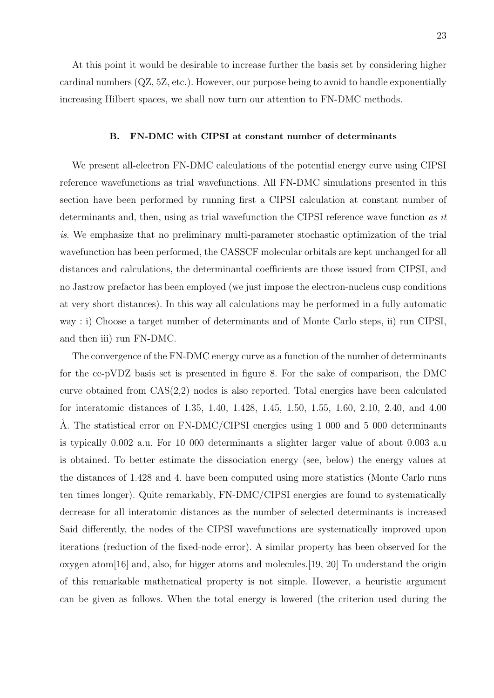At this point it would be desirable to increase further the basis set by considering higher cardinal numbers (QZ, 5Z, etc.). However, our purpose being to avoid to handle exponentially increasing Hilbert spaces, we shall now turn our attention to FN-DMC methods.

#### B. FN-DMC with CIPSI at constant number of determinants

We present all-electron FN-DMC calculations of the potential energy curve using CIPSI reference wavefunctions as trial wavefunctions. All FN-DMC simulations presented in this section have been performed by running first a CIPSI calculation at constant number of determinants and, then, using as trial wavefunction the CIPSI reference wave function as it is. We emphasize that no preliminary multi-parameter stochastic optimization of the trial wavefunction has been performed, the CASSCF molecular orbitals are kept unchanged for all distances and calculations, the determinantal coefficients are those issued from CIPSI, and no Jastrow prefactor has been employed (we just impose the electron-nucleus cusp conditions at very short distances). In this way all calculations may be performed in a fully automatic way : i) Choose a target number of determinants and of Monte Carlo steps, ii) run CIPSI, and then iii) run FN-DMC.

The convergence of the FN-DMC energy curve as a function of the number of determinants for the cc-pVDZ basis set is presented in figure 8. For the sake of comparison, the DMC curve obtained from CAS(2,2) nodes is also reported. Total energies have been calculated for interatomic distances of 1.35, 1.40, 1.428, 1.45, 1.50, 1.55, 1.60, 2.10, 2.40, and 4.00 Å. The statistical error on FN-DMC/CIPSI energies using 1 000 and 5 000 determinants is typically 0.002 a.u. For 10 000 determinants a slighter larger value of about 0.003 a.u is obtained. To better estimate the dissociation energy (see, below) the energy values at the distances of 1.428 and 4. have been computed using more statistics (Monte Carlo runs ten times longer). Quite remarkably, FN-DMC/CIPSI energies are found to systematically decrease for all interatomic distances as the number of selected determinants is increased Said differently, the nodes of the CIPSI wavefunctions are systematically improved upon iterations (reduction of the fixed-node error). A similar property has been observed for the oxygen atom $[16]$  and, also, for bigger atoms and molecules. [19, 20] To understand the origin of this remarkable mathematical property is not simple. However, a heuristic argument can be given as follows. When the total energy is lowered (the criterion used during the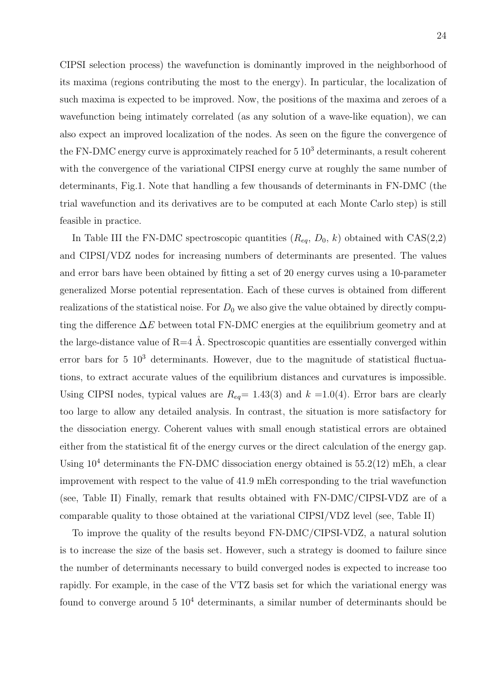CIPSI selection process) the wavefunction is dominantly improved in the neighborhood of its maxima (regions contributing the most to the energy). In particular, the localization of such maxima is expected to be improved. Now, the positions of the maxima and zeroes of a wavefunction being intimately correlated (as any solution of a wave-like equation), we can also expect an improved localization of the nodes. As seen on the figure the convergence of the FN-DMC energy curve is approximately reached for  $5 \times 10^3$  determinants, a result coherent with the convergence of the variational CIPSI energy curve at roughly the same number of determinants, Fig.1. Note that handling a few thousands of determinants in FN-DMC (the trial wavefunction and its derivatives are to be computed at each Monte Carlo step) is still feasible in practice.

In Table III the FN-DMC spectroscopic quantities  $(R_{eq}, D_0, k)$  obtained with  $CAS(2,2)$ and CIPSI/VDZ nodes for increasing numbers of determinants are presented. The values and error bars have been obtained by fitting a set of 20 energy curves using a 10-parameter generalized Morse potential representation. Each of these curves is obtained from different realizations of the statistical noise. For  $D_0$  we also give the value obtained by directly computing the difference  $\Delta E$  between total FN-DMC energies at the equilibrium geometry and at the large-distance value of  $R=4 \text{ Å}$ . Spectroscopic quantities are essentially converged within error bars for  $5 \times 10^3$  determinants. However, due to the magnitude of statistical fluctuations, to extract accurate values of the equilibrium distances and curvatures is impossible. Using CIPSI nodes, typical values are  $R_{eq} = 1.43(3)$  and  $k = 1.0(4)$ . Error bars are clearly too large to allow any detailed analysis. In contrast, the situation is more satisfactory for the dissociation energy. Coherent values with small enough statistical errors are obtained either from the statistical fit of the energy curves or the direct calculation of the energy gap. Using  $10^4$  determinants the FN-DMC dissociation energy obtained is  $55.2(12)$  mEh, a clear improvement with respect to the value of 41.9 mEh corresponding to the trial wavefunction (see, Table II) Finally, remark that results obtained with FN-DMC/CIPSI-VDZ are of a comparable quality to those obtained at the variational CIPSI/VDZ level (see, Table II)

To improve the quality of the results beyond FN-DMC/CIPSI-VDZ, a natural solution is to increase the size of the basis set. However, such a strategy is doomed to failure since the number of determinants necessary to build converged nodes is expected to increase too rapidly. For example, in the case of the VTZ basis set for which the variational energy was found to converge around  $5 \times 10^4$  determinants, a similar number of determinants should be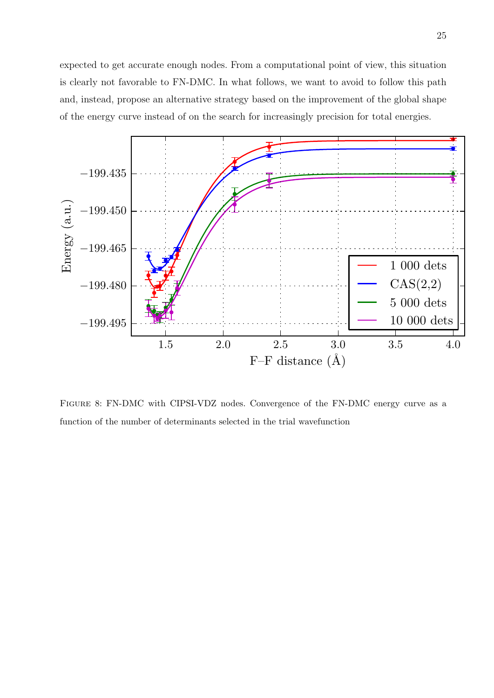expected to get accurate enough nodes. From a computational point of view, this situation is clearly not favorable to FN-DMC. In what follows, we want to avoid to follow this path and, instead, propose an alternative strategy based on the improvement of the global shape of the energy curve instead of on the search for increasingly precision for total energies.



Figure 8: FN-DMC with CIPSI-VDZ nodes. Convergence of the FN-DMC energy curve as a function of the number of determinants selected in the trial wavefunction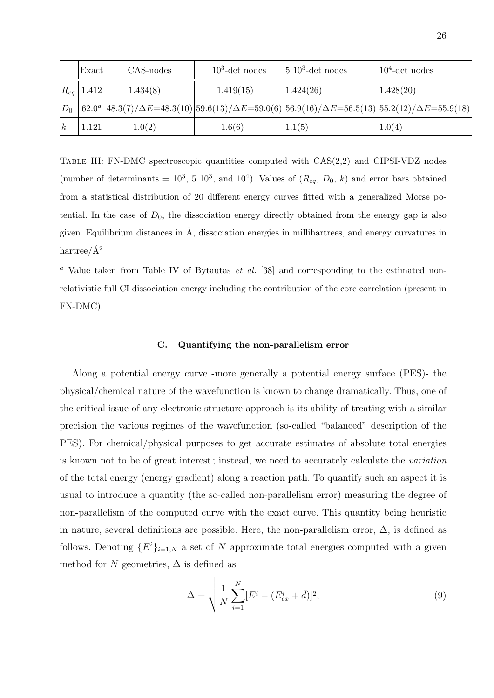|          | Exact                                            | CAS-nodes | $10^3$ -det nodes | $ 5\>10^3$ -det nodes                                                                                                                                | $10^4$ -det nodes |
|----------|--------------------------------------------------|-----------|-------------------|------------------------------------------------------------------------------------------------------------------------------------------------------|-------------------|
|          | $\left   R_{eq} \right   \left   1.412 \right  $ | 1.434(8)  | 1.419(15)         | 1.424(26)                                                                                                                                            | 1.428(20)         |
| $D_0$    |                                                  |           |                   | $\ $ 62.0 <sup>a</sup> $ $ 48.3(7)/ $\Delta E$ =48.3(10) 59.6(13)/ $\Delta E$ =59.0(6) 56.9(16)/ $\Delta E$ =56.5(13) 55.2(12)/ $\Delta E$ =55.9(18) |                   |
| $\kappa$ | .121                                             | 1.0(2)    | 1.6(6)            | 1.1(5)                                                                                                                                               | 1.0(4)            |

Table III: FN-DMC spectroscopic quantities computed with CAS(2,2) and CIPSI-VDZ nodes (number of determinants =  $10^3$ , 5  $10^3$ , and  $10^4$ ). Values of  $(R_{eq}, D_0, k)$  and error bars obtained from a statistical distribution of 20 different energy curves fitted with a generalized Morse potential. In the case of  $D_0$ , the dissociation energy directly obtained from the energy gap is also given. Equilibrium distances in  $\AA$ , dissociation energies in millihartrees, and energy curvatures in hartree/ $\AA^2$ 

<sup>a</sup> Value taken from Table IV of Bytautas *et al.* [38] and corresponding to the estimated nonrelativistic full CI dissociation energy including the contribution of the core correlation (present in FN-DMC).

## C. Quantifying the non-parallelism error

Along a potential energy curve -more generally a potential energy surface (PES)- the physical/chemical nature of the wavefunction is known to change dramatically. Thus, one of the critical issue of any electronic structure approach is its ability of treating with a similar precision the various regimes of the wavefunction (so-called "balanced" description of the PES). For chemical/physical purposes to get accurate estimates of absolute total energies is known not to be of great interest ; instead, we need to accurately calculate the variation of the total energy (energy gradient) along a reaction path. To quantify such an aspect it is usual to introduce a quantity (the so-called non-parallelism error) measuring the degree of non-parallelism of the computed curve with the exact curve. This quantity being heuristic in nature, several definitions are possible. Here, the non-parallelism error,  $\Delta$ , is defined as follows. Denoting  ${E^i}_{i=1,N}$  a set of N approximate total energies computed with a given method for N geometries,  $\Delta$  is defined as

$$
\Delta = \sqrt{\frac{1}{N} \sum_{i=1}^{N} [E^i - (E_{ex}^i + \bar{d})]^2},\tag{9}
$$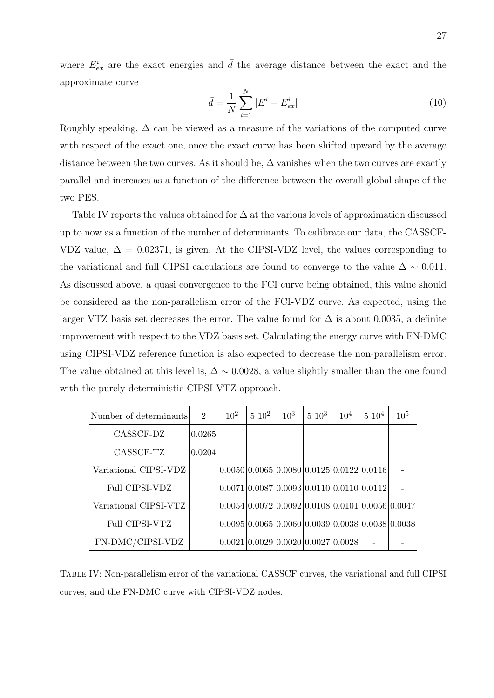where  $E_{ex}^{i}$  are the exact energies and  $\bar{d}$  the average distance between the exact and the approximate curve

$$
\bar{d} = \frac{1}{N} \sum_{i=1}^{N} |E^i - E^i_{ex}| \tag{10}
$$

Roughly speaking,  $\Delta$  can be viewed as a measure of the variations of the computed curve with respect of the exact one, once the exact curve has been shifted upward by the average distance between the two curves. As it should be,  $\Delta$  vanishes when the two curves are exactly parallel and increases as a function of the difference between the overall global shape of the two PES.

Table IV reports the values obtained for  $\Delta$  at the various levels of approximation discussed up to now as a function of the number of determinants. To calibrate our data, the CASSCF-VDZ value,  $\Delta = 0.02371$ , is given. At the CIPSI-VDZ level, the values corresponding to the variational and full CIPSI calculations are found to converge to the value  $\Delta \sim 0.011$ . As discussed above, a quasi convergence to the FCI curve being obtained, this value should be considered as the non-parallelism error of the FCI-VDZ curve. As expected, using the larger VTZ basis set decreases the error. The value found for  $\Delta$  is about 0.0035, a definite improvement with respect to the VDZ basis set. Calculating the energy curve with FN-DMC using CIPSI-VDZ reference function is also expected to decrease the non-parallelism error. The value obtained at this level is,  $\Delta \sim 0.0028$ , a value slightly smaller than the one found with the purely deterministic CIPSI-VTZ approach.

| Number of determinants | $\overline{2}$ | 10 <sup>2</sup> | $5\;10^2$ | $10^3$                                       | $5\;10^3$ | $10^4$ | $5\;10^4$ | $10^{5}$                                                   |
|------------------------|----------------|-----------------|-----------|----------------------------------------------|-----------|--------|-----------|------------------------------------------------------------|
| CASSCF-DZ              | 0.0265         |                 |           |                                              |           |        |           |                                                            |
| CASSCF-TZ              | 0.0204         |                 |           |                                              |           |        |           |                                                            |
| Variational CIPSI-VDZ  |                |                 |           | $ 0.0050 0.0065 0.0080 0.0125 0.0122 0.0116$ |           |        |           |                                                            |
| Full CIPSI-VDZ         |                |                 |           | $ 0.0071 0.0087 0.0093 0.0110 0.0110 0.0112$ |           |        |           |                                                            |
| Variational CIPSI-VTZ  |                |                 |           |                                              |           |        |           | $[0.0054] 0.0072] 0.0092] 0.0108] 0.0101] 0.0056] 0.0047]$ |
| Full CIPSI-VTZ         |                |                 |           |                                              |           |        |           | $[0.0095]0.0065]0.0060[0.0039]0.0038[0.0038]0.0038]$       |
| FN-DMC/CIPSI-VDZ       |                |                 |           | $0.0021   0.0029   0.0020   0.0027   0.0028$ |           |        |           |                                                            |

Table IV: Non-parallelism error of the variational CASSCF curves, the variational and full CIPSI curves, and the FN-DMC curve with CIPSI-VDZ nodes.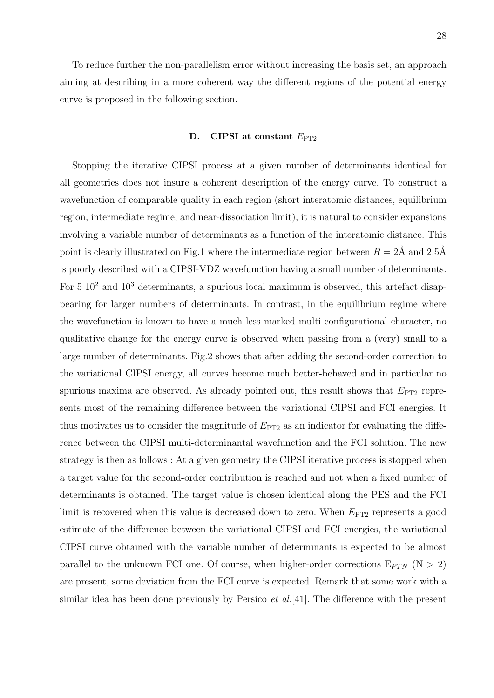To reduce further the non-parallelism error without increasing the basis set, an approach aiming at describing in a more coherent way the different regions of the potential energy curve is proposed in the following section.

# D. CIPSI at constant  $E_{\text{PT2}}$

Stopping the iterative CIPSI process at a given number of determinants identical for all geometries does not insure a coherent description of the energy curve. To construct a wavefunction of comparable quality in each region (short interatomic distances, equilibrium region, intermediate regime, and near-dissociation limit), it is natural to consider expansions involving a variable number of determinants as a function of the interatomic distance. This point is clearly illustrated on Fig.1 where the intermediate region between  $R = 2\text{\AA}$  and 2.5Å is poorly described with a CIPSI-VDZ wavefunction having a small number of determinants. For  $5 \times 10^2$  and  $10^3$  determinants, a spurious local maximum is observed, this artefact disappearing for larger numbers of determinants. In contrast, in the equilibrium regime where the wavefunction is known to have a much less marked multi-configurational character, no qualitative change for the energy curve is observed when passing from a (very) small to a large number of determinants. Fig.2 shows that after adding the second-order correction to the variational CIPSI energy, all curves become much better-behaved and in particular no spurious maxima are observed. As already pointed out, this result shows that  $E_{PT2}$  represents most of the remaining difference between the variational CIPSI and FCI energies. It thus motivates us to consider the magnitude of  $E_{PT2}$  as an indicator for evaluating the difference between the CIPSI multi-determinantal wavefunction and the FCI solution. The new strategy is then as follows : At a given geometry the CIPSI iterative process is stopped when a target value for the second-order contribution is reached and not when a fixed number of determinants is obtained. The target value is chosen identical along the PES and the FCI limit is recovered when this value is decreased down to zero. When  $E_{PT2}$  represents a good estimate of the difference between the variational CIPSI and FCI energies, the variational CIPSI curve obtained with the variable number of determinants is expected to be almost parallel to the unknown FCI one. Of course, when higher-order corrections  $E_{PTN}$  (N > 2) are present, some deviation from the FCI curve is expected. Remark that some work with a similar idea has been done previously by Persico *et al.*[41]. The difference with the present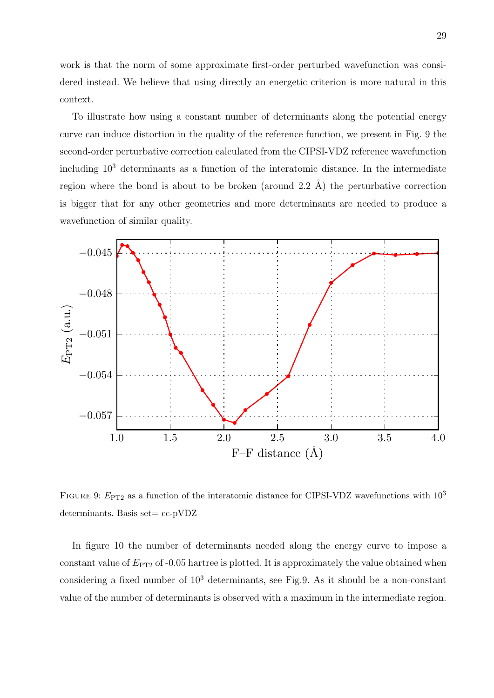work is that the norm of some approximate first-order perturbed wavefunction was considered instead. We believe that using directly an energetic criterion is more natural in this context.

To illustrate how using a constant number of determinants along the potential energy curve can induce distortion in the quality of the reference function, we present in Fig. 9 the second-order perturbative correction calculated from the CIPSI-VDZ reference wavefunction including  $10^3$  determinants as a function of the interatomic distance. In the intermediate region where the bond is about to be broken (around  $2.2 \text{ Å}$ ) the perturbative correction is bigger that for any other geometries and more determinants are needed to produce a wavefunction of similar quality.



FIGURE 9:  $E_{PT2}$  as a function of the interatomic distance for CIPSI-VDZ wavefunctions with  $10^3$ determinants. Basis set= cc-pVDZ

In figure 10 the number of determinants needed along the energy curve to impose a constant value of  $E_{PT2}$  of -0.05 hartree is plotted. It is approximately the value obtained when considering a fixed number of  $10<sup>3</sup>$  determinants, see Fig.9. As it should be a non-constant value of the number of determinants is observed with a maximum in the intermediate region.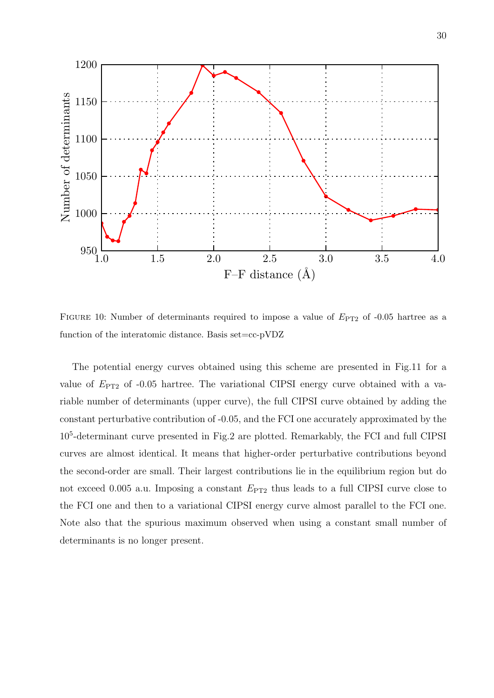

FIGURE 10: Number of determinants required to impose a value of  $E_{PT2}$  of -0.05 hartree as a function of the interatomic distance. Basis set=cc-pVDZ

The potential energy curves obtained using this scheme are presented in Fig.11 for a value of  $E_{PT2}$  of -0.05 hartree. The variational CIPSI energy curve obtained with a variable number of determinants (upper curve), the full CIPSI curve obtained by adding the constant perturbative contribution of -0.05, and the FCI one accurately approximated by the 10<sup>5</sup> -determinant curve presented in Fig.2 are plotted. Remarkably, the FCI and full CIPSI curves are almost identical. It means that higher-order perturbative contributions beyond the second-order are small. Their largest contributions lie in the equilibrium region but do not exceed 0.005 a.u. Imposing a constant  $E_{PT2}$  thus leads to a full CIPSI curve close to the FCI one and then to a variational CIPSI energy curve almost parallel to the FCI one. Note also that the spurious maximum observed when using a constant small number of determinants is no longer present.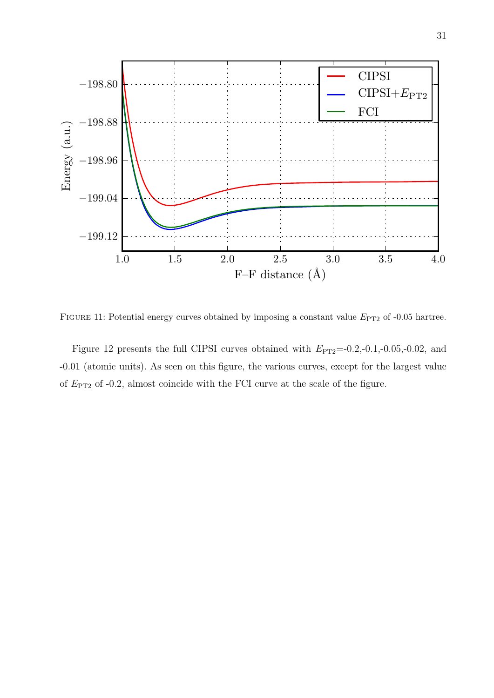

FIGURE 11: Potential energy curves obtained by imposing a constant value  $E_{\rm PT2}$  of -0.05 hartree.

Figure 12 presents the full CIPSI curves obtained with  $E_{\text{PT2}}=0.2,-0.1,-0.05,-0.02$ , and -0.01 (atomic units). As seen on this figure, the various curves, except for the largest value of  $E_{\text{PT2}}$  of -0.2, almost coincide with the FCI curve at the scale of the figure.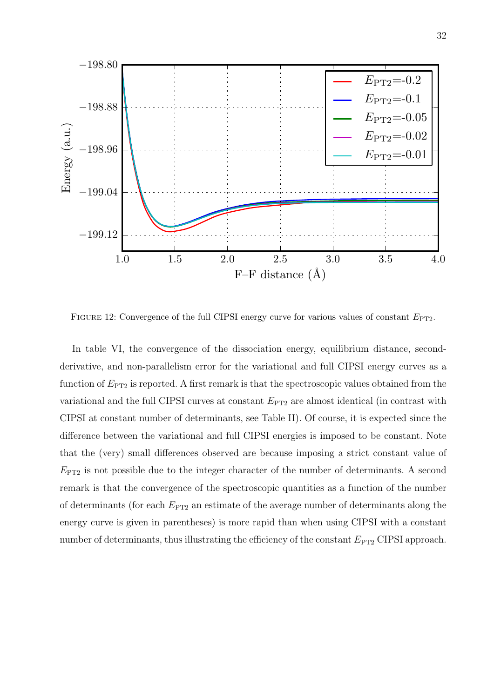

FIGURE 12: Convergence of the full CIPSI energy curve for various values of constant  $E_{\text{PT2}}$ .

In table VI, the convergence of the dissociation energy, equilibrium distance, secondderivative, and non-parallelism error for the variational and full CIPSI energy curves as a function of  $E_{\text{PT2}}$  is reported. A first remark is that the spectroscopic values obtained from the variational and the full CIPSI curves at constant  $E_{PT2}$  are almost identical (in contrast with CIPSI at constant number of determinants, see Table II). Of course, it is expected since the difference between the variational and full CIPSI energies is imposed to be constant. Note that the (very) small differences observed are because imposing a strict constant value of  $E_{\text{PT2}}$  is not possible due to the integer character of the number of determinants. A second remark is that the convergence of the spectroscopic quantities as a function of the number of determinants (for each  $E_{PT2}$  an estimate of the average number of determinants along the energy curve is given in parentheses) is more rapid than when using CIPSI with a constant number of determinants, thus illustrating the efficiency of the constant  $E_{PT2}$  CIPSI approach.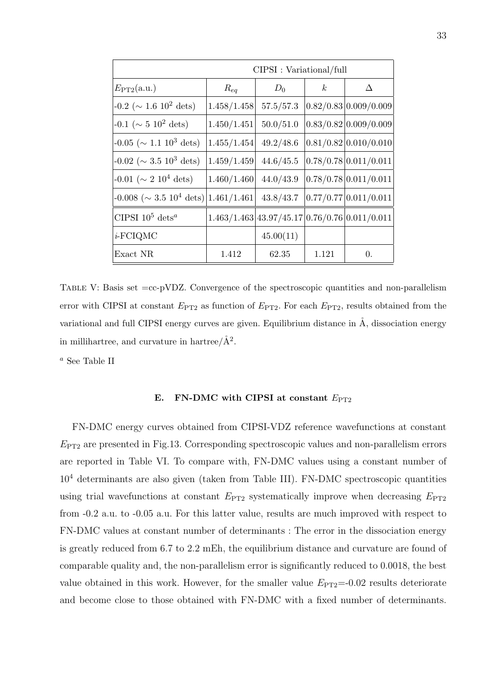| CIPSI : Variational/full                    |             |                                                 |       |                       |  |  |
|---------------------------------------------|-------------|-------------------------------------------------|-------|-----------------------|--|--|
| $E_{\rm PT2}({\rm a.u.})$                   | $R_{eq}$    | $D_0$                                           | k     | Δ                     |  |  |
| $-0.2 \ (\sim 1.6 \ 10^2 \ \text{dets})$    | 1.458/1.458 | 57.5/57.3                                       |       | 0.82/0.83 0.009/0.009 |  |  |
| $-0.1 \ (\sim 5 \ 10^2 \ \text{dets})$      | 1.450/1.451 | 50.0/51.0                                       |       | 0.83/0.82 0.009/0.009 |  |  |
| $-0.05 \ (\sim 1.1 \ 10^3 \ \text{dets})$   | 1.455/1.454 | 49.2/48.6                                       |       | 0.81/0.82 0.010/0.010 |  |  |
| $-0.02 \ (\sim 3.5 \ 10^3 \ \text{dets})$   | 1.459/1.459 | 44.6/45.5                                       |       | 0.78/0.78 0.011/0.011 |  |  |
| $-0.01~(\sim 2~10^4~\mathrm{dets})$         | 1.460/1.460 | 44.0/43.9                                       |       | 0.78/0.78 0.011/0.011 |  |  |
| $-0.008 \approx 3.5 10^4$ dets) 1.461/1.461 |             | 43.8/43.7                                       |       | 0.77/0.77 0.011/0.011 |  |  |
| CIPSI $10^5$ dets <sup>a</sup>              |             | $1.463/1.463/43.97/45.17/0.76/0.76/0.011/0.011$ |       |                       |  |  |
| $i$ -FCIQMC                                 |             | 45.00(11)                                       |       |                       |  |  |
| Exact NR                                    | 1.412       | 62.35                                           | 1.121 | 0.                    |  |  |

TABLE V: Basis set  $=$ cc-pVDZ. Convergence of the spectroscopic quantities and non-parallelism error with CIPSI at constant  $E_{\text{PT2}}$  as function of  $E_{\text{PT2}}$ . For each  $E_{\text{PT2}}$ , results obtained from the variational and full CIPSI energy curves are given. Equilibrium distance in  $\AA$ , dissociation energy in millihartree, and curvature in hartree/ $\AA^2$ .

 $^a$  See Table II

## E. FN-DMC with CIPSI at constant  $E_{\text{PT2}}$

FN-DMC energy curves obtained from CIPSI-VDZ reference wavefunctions at constant  $E_{\text{PT2}}$  are presented in Fig.13. Corresponding spectroscopic values and non-parallelism errors are reported in Table VI. To compare with, FN-DMC values using a constant number of  $10<sup>4</sup>$  determinants are also given (taken from Table III). FN-DMC spectroscopic quantities using trial wavefunctions at constant  $E_{PT2}$  systematically improve when decreasing  $E_{PT2}$ from -0.2 a.u. to -0.05 a.u. For this latter value, results are much improved with respect to FN-DMC values at constant number of determinants : The error in the dissociation energy is greatly reduced from 6.7 to 2.2 mEh, the equilibrium distance and curvature are found of comparable quality and, the non-parallelism error is significantly reduced to 0.0018, the best value obtained in this work. However, for the smaller value  $E_{PT2}$ =-0.02 results deteriorate and become close to those obtained with FN-DMC with a fixed number of determinants.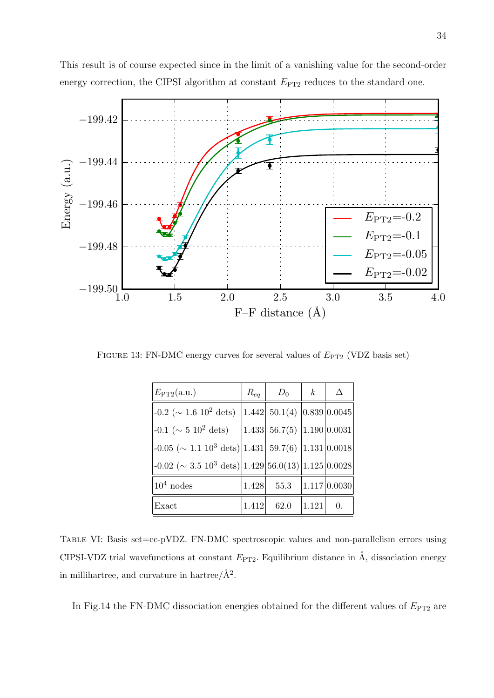

This result is of course expected since in the limit of a vanishing value for the second-order energy correction, the CIPSI algorithm at constant  $E_{\rm PT2}$  reduces to the standard one.

FIGURE 13: FN-DMC energy curves for several values of  $E_{\text{PT2}}$  (VDZ basis set)

| $E_{\text{PT2}}(\text{a.u.})$                                                  |       | $R_{eq}$   $D_0$                  | k <sub>i</sub> | Δ            |
|--------------------------------------------------------------------------------|-------|-----------------------------------|----------------|--------------|
| $-0.2 \ (\sim 1.6 \ 10^2 \ \text{dets}) \ [1.442 \ 50.1(4) \ 0.839 \ 0.0045 \$ |       |                                   |                |              |
| $-0.1 \ (\sim 5 \ 10^2 \ \text{dets})$                                         |       | $ 1.433 $ 56.7(5) $ 1.190 0.0031$ |                |              |
| $-0.05 \approx 1.110^{3}$ dets) 1.431 59.7(6) 1.131 0.0018                     |       |                                   |                |              |
| $-0.02 \approx 3.5 \times 10^3$ dets) 1.429 56.0(13) 1.125 0.0028              |       |                                   |                |              |
| $10^4$ nodes                                                                   | 1.428 | 55.3                              |                | 1.117 0.0030 |
| Exact                                                                          | 1.412 | 62.0                              | 1.121          | $\Omega$ .   |

TABLE VI: Basis set=cc-pVDZ. FN-DMC spectroscopic values and non-parallelism errors using CIPSI-VDZ trial wavefunctions at constant  $E_{PT2}$ . Equilibrium distance in  $\AA$ , dissociation energy in millihartree, and curvature in hartree/ $\AA^2$ .

In Fig.14 the FN-DMC dissociation energies obtained for the different values of  $E_{\rm PT2}$  are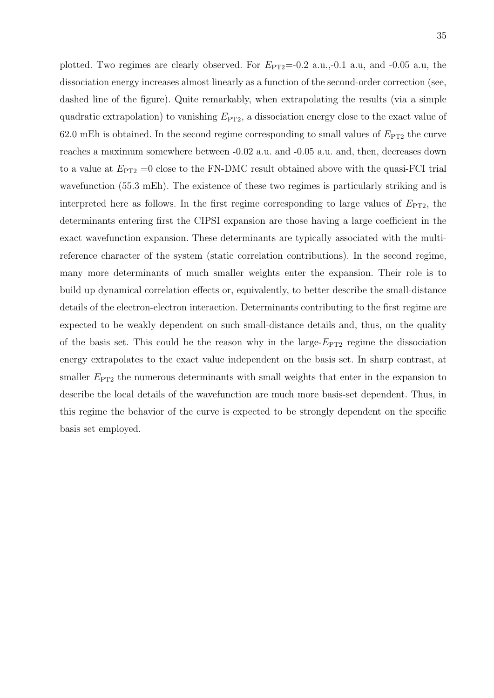plotted. Two regimes are clearly observed. For  $E_{PT2}$ =-0.2 a.u.,-0.1 a.u, and -0.05 a.u, the dissociation energy increases almost linearly as a function of the second-order correction (see, dashed line of the figure). Quite remarkably, when extrapolating the results (via a simple quadratic extrapolation) to vanishing  $E_{\text{PT2}}$ , a dissociation energy close to the exact value of 62.0 mEh is obtained. In the second regime corresponding to small values of  $E_{PT2}$  the curve reaches a maximum somewhere between -0.02 a.u. and -0.05 a.u. and, then, decreases down to a value at  $E_{\text{PT2}} = 0$  close to the FN-DMC result obtained above with the quasi-FCI trial wavefunction (55.3 mEh). The existence of these two regimes is particularly striking and is interpreted here as follows. In the first regime corresponding to large values of  $E_{PT2}$ , the determinants entering first the CIPSI expansion are those having a large coefficient in the exact wavefunction expansion. These determinants are typically associated with the multireference character of the system (static correlation contributions). In the second regime, many more determinants of much smaller weights enter the expansion. Their role is to build up dynamical correlation effects or, equivalently, to better describe the small-distance details of the electron-electron interaction. Determinants contributing to the first regime are expected to be weakly dependent on such small-distance details and, thus, on the quality of the basis set. This could be the reason why in the large- $E_{PT2}$  regime the dissociation energy extrapolates to the exact value independent on the basis set. In sharp contrast, at smaller  $E_{\text{PT2}}$  the numerous determinants with small weights that enter in the expansion to describe the local details of the wavefunction are much more basis-set dependent. Thus, in this regime the behavior of the curve is expected to be strongly dependent on the specific basis set employed.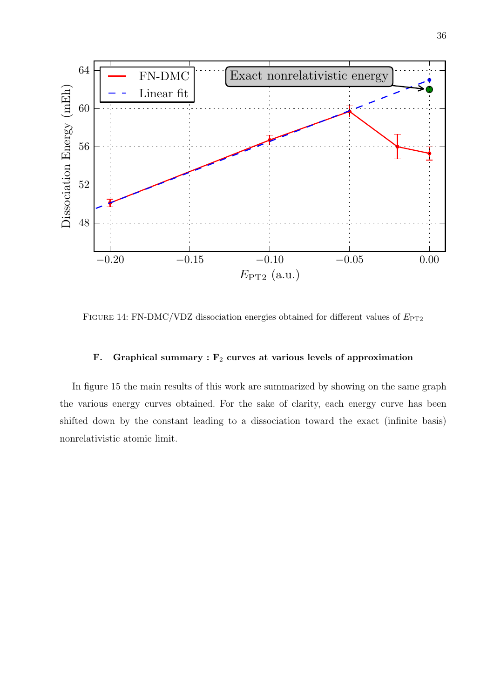

FIGURE 14: FN-DMC/VDZ dissociation energies obtained for different values of  $E_{\text{PT2}}$ 

# F. Graphical summary :  $F_2$  curves at various levels of approximation

In figure 15 the main results of this work are summarized by showing on the same graph the various energy curves obtained. For the sake of clarity, each energy curve has been shifted down by the constant leading to a dissociation toward the exact (infinite basis) nonrelativistic atomic limit.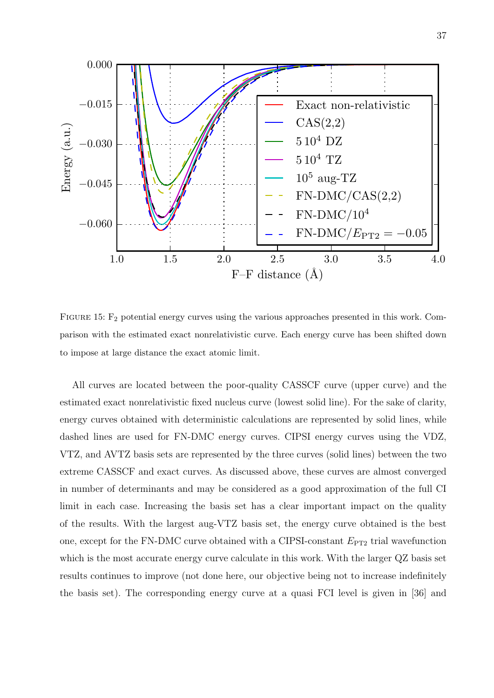

FIGURE 15:  $F_2$  potential energy curves using the various approaches presented in this work. Comparison with the estimated exact nonrelativistic curve. Each energy curve has been shifted down to impose at large distance the exact atomic limit.

All curves are located between the poor-quality CASSCF curve (upper curve) and the estimated exact nonrelativistic fixed nucleus curve (lowest solid line). For the sake of clarity, energy curves obtained with deterministic calculations are represented by solid lines, while dashed lines are used for FN-DMC energy curves. CIPSI energy curves using the VDZ, VTZ, and AVTZ basis sets are represented by the three curves (solid lines) between the two extreme CASSCF and exact curves. As discussed above, these curves are almost converged in number of determinants and may be considered as a good approximation of the full CI limit in each case. Increasing the basis set has a clear important impact on the quality of the results. With the largest aug-VTZ basis set, the energy curve obtained is the best one, except for the FN-DMC curve obtained with a CIPSI-constant  $E_{PT2}$  trial wavefunction which is the most accurate energy curve calculate in this work. With the larger QZ basis set results continues to improve (not done here, our objective being not to increase indefinitely the basis set). The corresponding energy curve at a quasi FCI level is given in [36] and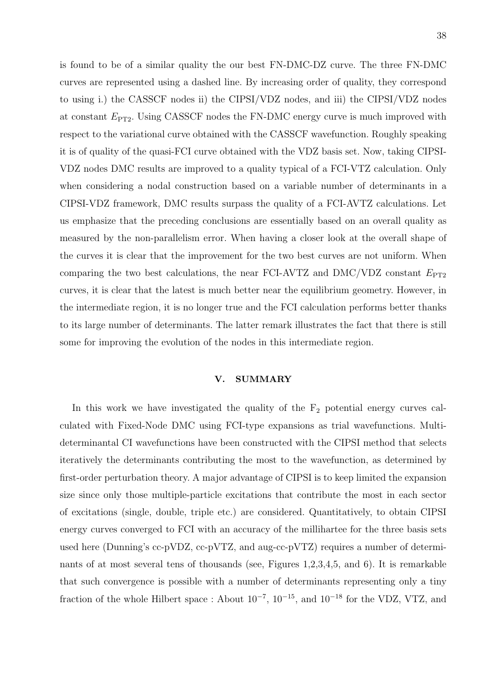is found to be of a similar quality the our best FN-DMC-DZ curve. The three FN-DMC curves are represented using a dashed line. By increasing order of quality, they correspond to using i.) the CASSCF nodes ii) the CIPSI/VDZ nodes, and iii) the CIPSI/VDZ nodes at constant  $E_{PT2}$ . Using CASSCF nodes the FN-DMC energy curve is much improved with respect to the variational curve obtained with the CASSCF wavefunction. Roughly speaking it is of quality of the quasi-FCI curve obtained with the VDZ basis set. Now, taking CIPSI-VDZ nodes DMC results are improved to a quality typical of a FCI-VTZ calculation. Only when considering a nodal construction based on a variable number of determinants in a CIPSI-VDZ framework, DMC results surpass the quality of a FCI-AVTZ calculations. Let us emphasize that the preceding conclusions are essentially based on an overall quality as measured by the non-parallelism error. When having a closer look at the overall shape of the curves it is clear that the improvement for the two best curves are not uniform. When comparing the two best calculations, the near FCI-AVTZ and DMC/VDZ constant  $E_{\text{PT2}}$ curves, it is clear that the latest is much better near the equilibrium geometry. However, in the intermediate region, it is no longer true and the FCI calculation performs better thanks to its large number of determinants. The latter remark illustrates the fact that there is still some for improving the evolution of the nodes in this intermediate region.

## V. SUMMARY

In this work we have investigated the quality of the  $F_2$  potential energy curves calculated with Fixed-Node DMC using FCI-type expansions as trial wavefunctions. Multideterminantal CI wavefunctions have been constructed with the CIPSI method that selects iteratively the determinants contributing the most to the wavefunction, as determined by first-order perturbation theory. A major advantage of CIPSI is to keep limited the expansion size since only those multiple-particle excitations that contribute the most in each sector of excitations (single, double, triple etc.) are considered. Quantitatively, to obtain CIPSI energy curves converged to FCI with an accuracy of the millihartee for the three basis sets used here (Dunning's cc-pVDZ, cc-pVTZ, and aug-cc-pVTZ) requires a number of determinants of at most several tens of thousands (see, Figures 1,2,3,4,5, and 6). It is remarkable that such convergence is possible with a number of determinants representing only a tiny fraction of the whole Hilbert space : About  $10^{-7}$ ,  $10^{-15}$ , and  $10^{-18}$  for the VDZ, VTZ, and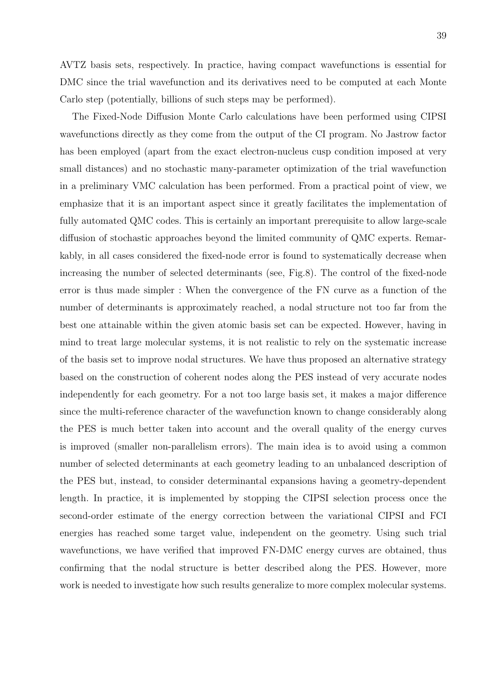AVTZ basis sets, respectively. In practice, having compact wavefunctions is essential for DMC since the trial wavefunction and its derivatives need to be computed at each Monte Carlo step (potentially, billions of such steps may be performed).

The Fixed-Node Diffusion Monte Carlo calculations have been performed using CIPSI wavefunctions directly as they come from the output of the CI program. No Jastrow factor has been employed (apart from the exact electron-nucleus cusp condition imposed at very small distances) and no stochastic many-parameter optimization of the trial wavefunction in a preliminary VMC calculation has been performed. From a practical point of view, we emphasize that it is an important aspect since it greatly facilitates the implementation of fully automated QMC codes. This is certainly an important prerequisite to allow large-scale diffusion of stochastic approaches beyond the limited community of QMC experts. Remarkably, in all cases considered the fixed-node error is found to systematically decrease when increasing the number of selected determinants (see, Fig.8). The control of the fixed-node error is thus made simpler : When the convergence of the FN curve as a function of the number of determinants is approximately reached, a nodal structure not too far from the best one attainable within the given atomic basis set can be expected. However, having in mind to treat large molecular systems, it is not realistic to rely on the systematic increase of the basis set to improve nodal structures. We have thus proposed an alternative strategy based on the construction of coherent nodes along the PES instead of very accurate nodes independently for each geometry. For a not too large basis set, it makes a major difference since the multi-reference character of the wavefunction known to change considerably along the PES is much better taken into account and the overall quality of the energy curves is improved (smaller non-parallelism errors). The main idea is to avoid using a common number of selected determinants at each geometry leading to an unbalanced description of the PES but, instead, to consider determinantal expansions having a geometry-dependent length. In practice, it is implemented by stopping the CIPSI selection process once the second-order estimate of the energy correction between the variational CIPSI and FCI energies has reached some target value, independent on the geometry. Using such trial wavefunctions, we have verified that improved FN-DMC energy curves are obtained, thus confirming that the nodal structure is better described along the PES. However, more work is needed to investigate how such results generalize to more complex molecular systems.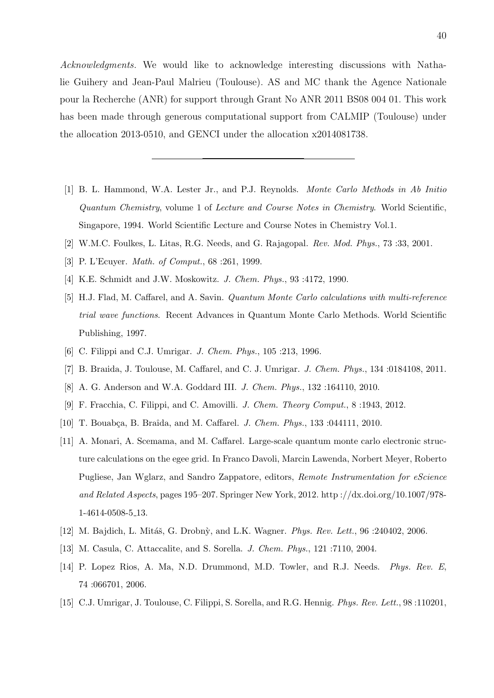Acknowledgments. We would like to acknowledge interesting discussions with Nathalie Guihery and Jean-Paul Malrieu (Toulouse). AS and MC thank the Agence Nationale pour la Recherche (ANR) for support through Grant No ANR 2011 BS08 004 01. This work has been made through generous computational support from CALMIP (Toulouse) under the allocation 2013-0510, and GENCI under the allocation x2014081738.

- [1] B. L. Hammond, W.A. Lester Jr., and P.J. Reynolds. Monte Carlo Methods in Ab Initio Quantum Chemistry, volume 1 of Lecture and Course Notes in Chemistry. World Scientific, Singapore, 1994. World Scientific Lecture and Course Notes in Chemistry Vol.1.
- [2] W.M.C. Foulkes, L. Litas, R.G. Needs, and G. Rajagopal. Rev. Mod. Phys., 73 :33, 2001.
- [3] P. L'Ecuyer. *Math. of Comput.*, 68 :261, 1999.
- [4] K.E. Schmidt and J.W. Moskowitz. J. Chem. Phys., 93 :4172, 1990.
- [5] H.J. Flad, M. Caffarel, and A. Savin. Quantum Monte Carlo calculations with multi-reference trial wave functions. Recent Advances in Quantum Monte Carlo Methods. World Scientific Publishing, 1997.
- [6] C. Filippi and C.J. Umrigar. *J. Chem. Phys.*, 105 :213, 1996.
- [7] B. Braıida, J. Toulouse, M. Caffarel, and C. J. Umrigar. J. Chem. Phys., 134 :0184108, 2011.
- [8] A. G. Anderson and W.A. Goddard III. J. Chem. Phys., 132 :164110, 2010.
- [9] F. Fracchia, C. Filippi, and C. Amovilli. J. Chem. Theory Comput., 8 :1943, 2012.
- [10] T. Bouabça, B. Braîda, and M. Caffarel. *J. Chem. Phys.*, 133 :044111, 2010.
- [11] A. Monari, A. Scemama, and M. Caffarel. Large-scale quantum monte carlo electronic structure calculations on the egee grid. In Franco Davoli, Marcin Lawenda, Norbert Meyer, Roberto Pugliese, Jan Wglarz, and Sandro Zappatore, editors, Remote Instrumentation for eScience and Related Aspects, pages 195–207. Springer New York, 2012. http ://dx.doi.org/10.1007/978- 1-4614-0508-5 13.
- [12] M. Bajdich, L. Mitáš, G. Drobnỳ, and L.K. Wagner. *Phys. Rev. Lett.*, 96 :240402, 2006.
- [13] M. Casula, C. Attaccalite, and S. Sorella. J. Chem. Phys., 121 :7110, 2004.
- [14] P. Lopez Rios, A. Ma, N.D. Drummond, M.D. Towler, and R.J. Needs. *Phys. Rev. E.* 74 :066701, 2006.
- [15] C.J. Umrigar, J. Toulouse, C. Filippi, S. Sorella, and R.G. Hennig. Phys. Rev. Lett., 98 :110201,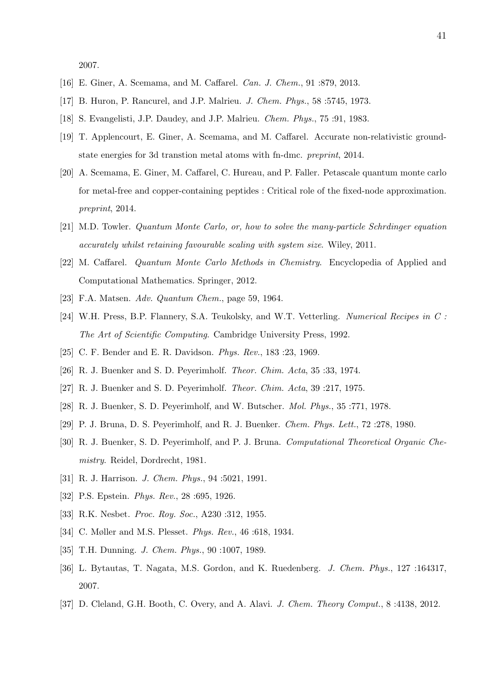2007.

- [16] E. Giner, A. Scemama, and M. Caffarel. Can. J. Chem., 91 :879, 2013.
- [17] B. Huron, P. Rancurel, and J.P. Malrieu. J. Chem. Phys., 58 :5745, 1973.
- [18] S. Evangelisti, J.P. Daudey, and J.P. Malrieu. Chem. Phys., 75 :91, 1983.
- [19] T. Applencourt, E. Giner, A. Scemama, and M. Caffarel. Accurate non-relativistic groundstate energies for 3d transtion metal atoms with fn-dmc. preprint, 2014.
- [20] A. Scemama, E. Giner, M. Caffarel, C. Hureau, and P. Faller. Petascale quantum monte carlo for metal-free and copper-containing peptides : Critical role of the fixed-node approximation. preprint, 2014.
- [21] M.D. Towler. Quantum Monte Carlo, or, how to solve the many-particle Schrdinger equation accurately whilst retaining favourable scaling with system size. Wiley, 2011.
- [22] M. Caffarel. Quantum Monte Carlo Methods in Chemistry. Encyclopedia of Applied and Computational Mathematics. Springer, 2012.
- [23] F.A. Matsen. Adv. Quantum Chem., page 59, 1964.
- [24] W.H. Press, B.P. Flannery, S.A. Teukolsky, and W.T. Vetterling. Numerical Recipes in C : The Art of Scientific Computing. Cambridge University Press, 1992.
- [25] C. F. Bender and E. R. Davidson. *Phys. Rev.*, 183 :23, 1969.
- [26] R. J. Buenker and S. D. Peyerimholf. Theor. Chim. Acta, 35 :33, 1974.
- [27] R. J. Buenker and S. D. Peyerimholf. Theor. Chim. Acta, 39 :217, 1975.
- [28] R. J. Buenker, S. D. Peyerimholf, and W. Butscher. Mol. Phys., 35 :771, 1978.
- [29] P. J. Bruna, D. S. Peyerimholf, and R. J. Buenker. Chem. Phys. Lett., 72 :278, 1980.
- [30] R. J. Buenker, S. D. Peyerimholf, and P. J. Bruna. Computational Theoretical Organic Chemistry. Reidel, Dordrecht, 1981.
- [31] R. J. Harrison. J. Chem. Phys., 94 :5021, 1991.
- [32] P.S. Epstein. Phys. Rev., 28 :695, 1926.
- [33] R.K. Nesbet. *Proc. Roy. Soc.*, A230 :312, 1955.
- [34] C. Møller and M.S. Plesset. Phys. Rev., 46 :618, 1934.
- [35] T.H. Dunning. *J. Chem. Phys.*, 90 :1007, 1989.
- [36] L. Bytautas, T. Nagata, M.S. Gordon, and K. Ruedenberg. J. Chem. Phys., 127 :164317, 2007.
- [37] D. Cleland, G.H. Booth, C. Overy, and A. Alavi. J. Chem. Theory Comput., 8:4138, 2012.